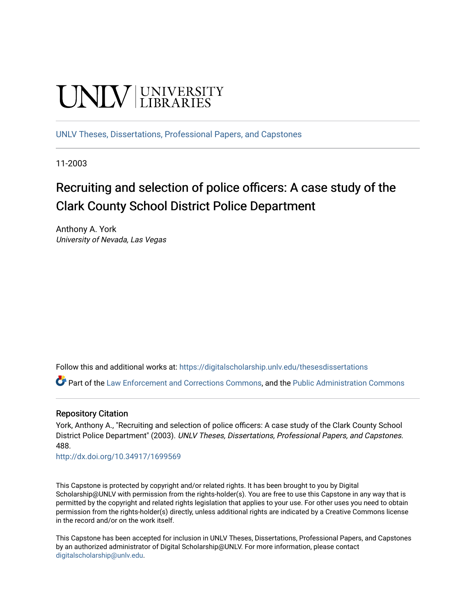# **UNIVERSITY**

[UNLV Theses, Dissertations, Professional Papers, and Capstones](https://digitalscholarship.unlv.edu/thesesdissertations)

11-2003

# Recruiting and selection of police officers: A case study of the Clark County School District Police Department

Anthony A. York University of Nevada, Las Vegas

Follow this and additional works at: [https://digitalscholarship.unlv.edu/thesesdissertations](https://digitalscholarship.unlv.edu/thesesdissertations?utm_source=digitalscholarship.unlv.edu%2Fthesesdissertations%2F488&utm_medium=PDF&utm_campaign=PDFCoverPages)

Part of the [Law Enforcement and Corrections Commons,](http://network.bepress.com/hgg/discipline/854?utm_source=digitalscholarship.unlv.edu%2Fthesesdissertations%2F488&utm_medium=PDF&utm_campaign=PDFCoverPages) and the [Public Administration Commons](http://network.bepress.com/hgg/discipline/398?utm_source=digitalscholarship.unlv.edu%2Fthesesdissertations%2F488&utm_medium=PDF&utm_campaign=PDFCoverPages) 

# Repository Citation

York, Anthony A., "Recruiting and selection of police officers: A case study of the Clark County School District Police Department" (2003). UNLV Theses, Dissertations, Professional Papers, and Capstones. 488.

<http://dx.doi.org/10.34917/1699569>

This Capstone is protected by copyright and/or related rights. It has been brought to you by Digital Scholarship@UNLV with permission from the rights-holder(s). You are free to use this Capstone in any way that is permitted by the copyright and related rights legislation that applies to your use. For other uses you need to obtain permission from the rights-holder(s) directly, unless additional rights are indicated by a Creative Commons license in the record and/or on the work itself.

This Capstone has been accepted for inclusion in UNLV Theses, Dissertations, Professional Papers, and Capstones by an authorized administrator of Digital Scholarship@UNLV. For more information, please contact [digitalscholarship@unlv.edu](mailto:digitalscholarship@unlv.edu).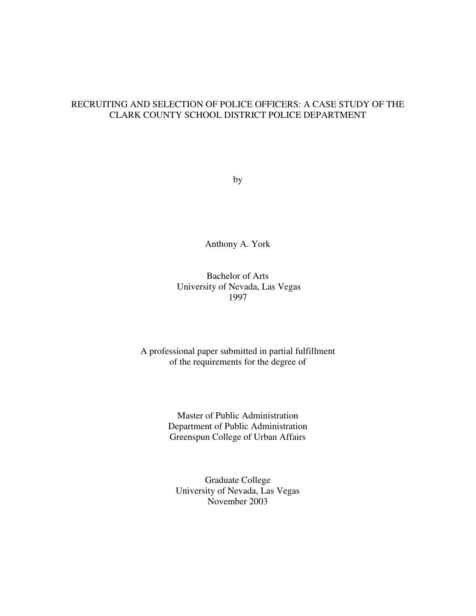# RECRUITING AND SELECTION OF POLICE OFFICERS: A CASE STUDY OF THE CLARK COUNTY SCHOOL DISTRICT POLICE DEPARTMENT

by

Anthony A. York

# Bachelor of Arts University of Nevada, Las Vegas 1997

# A professional paper submitted in partial fulfillment of the requirements for the degree of

Master of Public Administration Department of Public Administration Greenspun College of Urban Affairs

Graduate College University of Nevada, Las Vegas November 2003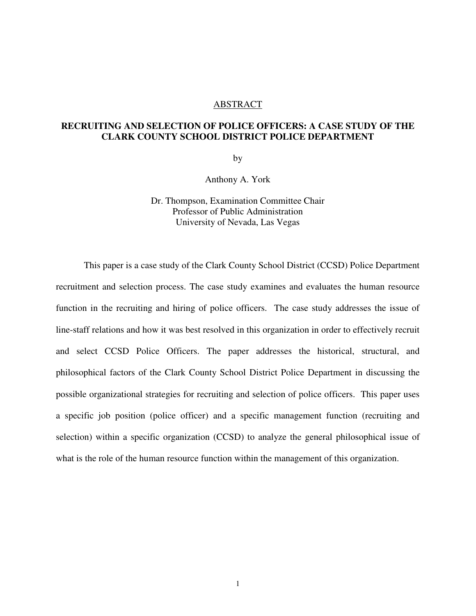#### ABSTRACT

# **RECRUITING AND SELECTION OF POLICE OFFICERS: A CASE STUDY OF THE CLARK COUNTY SCHOOL DISTRICT POLICE DEPARTMENT**

by

Anthony A. York

Dr. Thompson, Examination Committee Chair Professor of Public Administration University of Nevada, Las Vegas

This paper is a case study of the Clark County School District (CCSD) Police Department recruitment and selection process. The case study examines and evaluates the human resource function in the recruiting and hiring of police officers. The case study addresses the issue of line-staff relations and how it was best resolved in this organization in order to effectively recruit and select CCSD Police Officers. The paper addresses the historical, structural, and philosophical factors of the Clark County School District Police Department in discussing the possible organizational strategies for recruiting and selection of police officers. This paper uses a specific job position (police officer) and a specific management function (recruiting and selection) within a specific organization (CCSD) to analyze the general philosophical issue of what is the role of the human resource function within the management of this organization.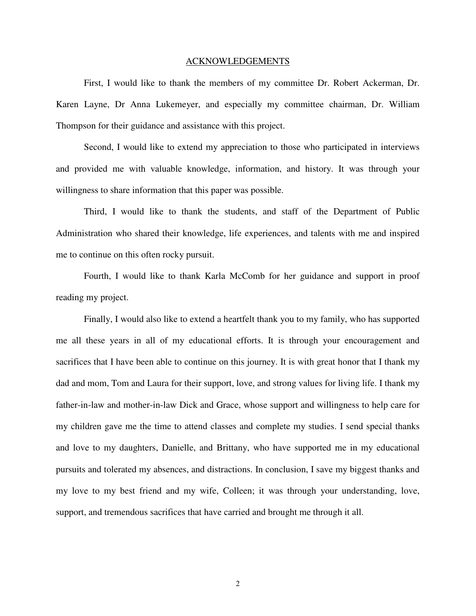#### ACKNOWLEDGEMENTS

 First, I would like to thank the members of my committee Dr. Robert Ackerman, Dr. Karen Layne, Dr Anna Lukemeyer, and especially my committee chairman, Dr. William Thompson for their guidance and assistance with this project.

Second, I would like to extend my appreciation to those who participated in interviews and provided me with valuable knowledge, information, and history. It was through your willingness to share information that this paper was possible.

Third, I would like to thank the students, and staff of the Department of Public Administration who shared their knowledge, life experiences, and talents with me and inspired me to continue on this often rocky pursuit.

Fourth, I would like to thank Karla McComb for her guidance and support in proof reading my project.

Finally, I would also like to extend a heartfelt thank you to my family, who has supported me all these years in all of my educational efforts. It is through your encouragement and sacrifices that I have been able to continue on this journey. It is with great honor that I thank my dad and mom, Tom and Laura for their support, love, and strong values for living life. I thank my father-in-law and mother-in-law Dick and Grace, whose support and willingness to help care for my children gave me the time to attend classes and complete my studies. I send special thanks and love to my daughters, Danielle, and Brittany, who have supported me in my educational pursuits and tolerated my absences, and distractions. In conclusion, I save my biggest thanks and my love to my best friend and my wife, Colleen; it was through your understanding, love, support, and tremendous sacrifices that have carried and brought me through it all.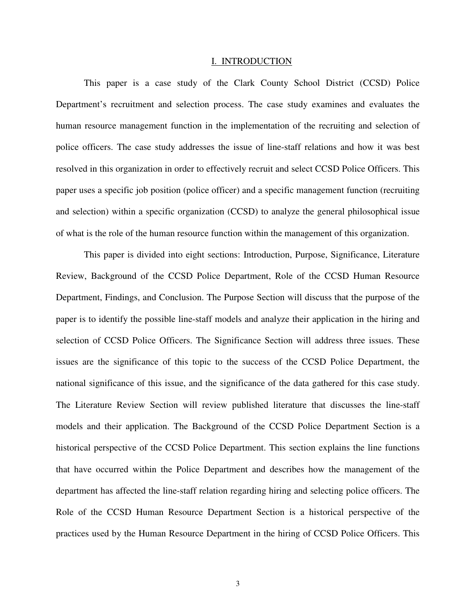#### I. INTRODUCTION

This paper is a case study of the Clark County School District (CCSD) Police Department's recruitment and selection process. The case study examines and evaluates the human resource management function in the implementation of the recruiting and selection of police officers. The case study addresses the issue of line-staff relations and how it was best resolved in this organization in order to effectively recruit and select CCSD Police Officers. This paper uses a specific job position (police officer) and a specific management function (recruiting and selection) within a specific organization (CCSD) to analyze the general philosophical issue of what is the role of the human resource function within the management of this organization.

This paper is divided into eight sections: Introduction, Purpose, Significance, Literature Review, Background of the CCSD Police Department, Role of the CCSD Human Resource Department, Findings, and Conclusion. The Purpose Section will discuss that the purpose of the paper is to identify the possible line-staff models and analyze their application in the hiring and selection of CCSD Police Officers. The Significance Section will address three issues. These issues are the significance of this topic to the success of the CCSD Police Department, the national significance of this issue, and the significance of the data gathered for this case study. The Literature Review Section will review published literature that discusses the line-staff models and their application. The Background of the CCSD Police Department Section is a historical perspective of the CCSD Police Department. This section explains the line functions that have occurred within the Police Department and describes how the management of the department has affected the line-staff relation regarding hiring and selecting police officers. The Role of the CCSD Human Resource Department Section is a historical perspective of the practices used by the Human Resource Department in the hiring of CCSD Police Officers. This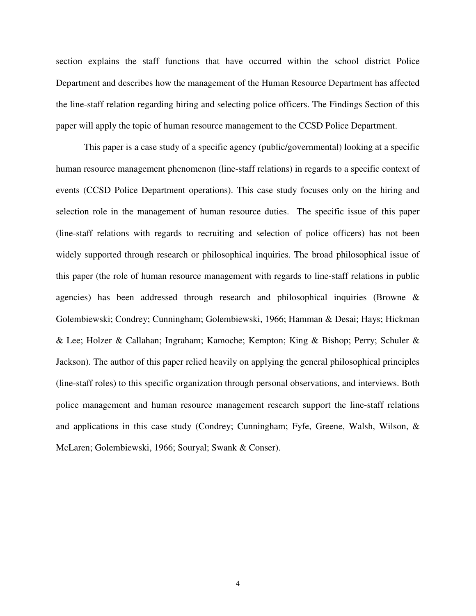section explains the staff functions that have occurred within the school district Police Department and describes how the management of the Human Resource Department has affected the line-staff relation regarding hiring and selecting police officers. The Findings Section of this paper will apply the topic of human resource management to the CCSD Police Department.

This paper is a case study of a specific agency (public/governmental) looking at a specific human resource management phenomenon (line-staff relations) in regards to a specific context of events (CCSD Police Department operations). This case study focuses only on the hiring and selection role in the management of human resource duties. The specific issue of this paper (line-staff relations with regards to recruiting and selection of police officers) has not been widely supported through research or philosophical inquiries. The broad philosophical issue of this paper (the role of human resource management with regards to line-staff relations in public agencies) has been addressed through research and philosophical inquiries (Browne & Golembiewski; Condrey; Cunningham; Golembiewski, 1966; Hamman & Desai; Hays; Hickman & Lee; Holzer & Callahan; Ingraham; Kamoche; Kempton; King & Bishop; Perry; Schuler & Jackson). The author of this paper relied heavily on applying the general philosophical principles (line-staff roles) to this specific organization through personal observations, and interviews. Both police management and human resource management research support the line-staff relations and applications in this case study (Condrey; Cunningham; Fyfe, Greene, Walsh, Wilson, & McLaren; Golembiewski, 1966; Souryal; Swank & Conser).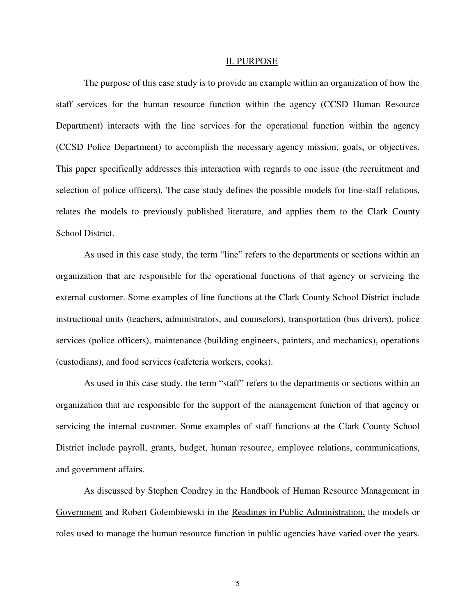#### II. PURPOSE

The purpose of this case study is to provide an example within an organization of how the staff services for the human resource function within the agency (CCSD Human Resource Department) interacts with the line services for the operational function within the agency (CCSD Police Department) to accomplish the necessary agency mission, goals, or objectives. This paper specifically addresses this interaction with regards to one issue (the recruitment and selection of police officers). The case study defines the possible models for line-staff relations, relates the models to previously published literature, and applies them to the Clark County School District.

As used in this case study, the term "line" refers to the departments or sections within an organization that are responsible for the operational functions of that agency or servicing the external customer. Some examples of line functions at the Clark County School District include instructional units (teachers, administrators, and counselors), transportation (bus drivers), police services (police officers), maintenance (building engineers, painters, and mechanics), operations (custodians), and food services (cafeteria workers, cooks).

As used in this case study, the term "staff" refers to the departments or sections within an organization that are responsible for the support of the management function of that agency or servicing the internal customer. Some examples of staff functions at the Clark County School District include payroll, grants, budget, human resource, employee relations, communications, and government affairs.

As discussed by Stephen Condrey in the Handbook of Human Resource Management in Government and Robert Golembiewski in the Readings in Public Administration, the models or roles used to manage the human resource function in public agencies have varied over the years.

5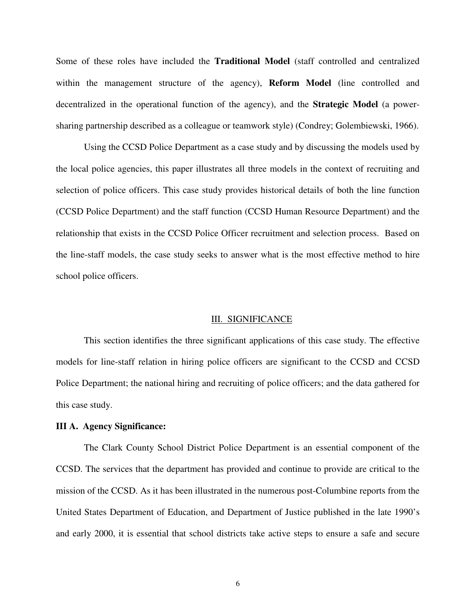Some of these roles have included the **Traditional Model** (staff controlled and centralized within the management structure of the agency), **Reform Model** (line controlled and decentralized in the operational function of the agency), and the **Strategic Model** (a powersharing partnership described as a colleague or teamwork style) (Condrey; Golembiewski, 1966).

Using the CCSD Police Department as a case study and by discussing the models used by the local police agencies, this paper illustrates all three models in the context of recruiting and selection of police officers. This case study provides historical details of both the line function (CCSD Police Department) and the staff function (CCSD Human Resource Department) and the relationship that exists in the CCSD Police Officer recruitment and selection process. Based on the line-staff models, the case study seeks to answer what is the most effective method to hire school police officers.

#### III. SIGNIFICANCE

This section identifies the three significant applications of this case study. The effective models for line-staff relation in hiring police officers are significant to the CCSD and CCSD Police Department; the national hiring and recruiting of police officers; and the data gathered for this case study.

#### **III A. Agency Significance:**

The Clark County School District Police Department is an essential component of the CCSD. The services that the department has provided and continue to provide are critical to the mission of the CCSD. As it has been illustrated in the numerous post-Columbine reports from the United States Department of Education, and Department of Justice published in the late 1990's and early 2000, it is essential that school districts take active steps to ensure a safe and secure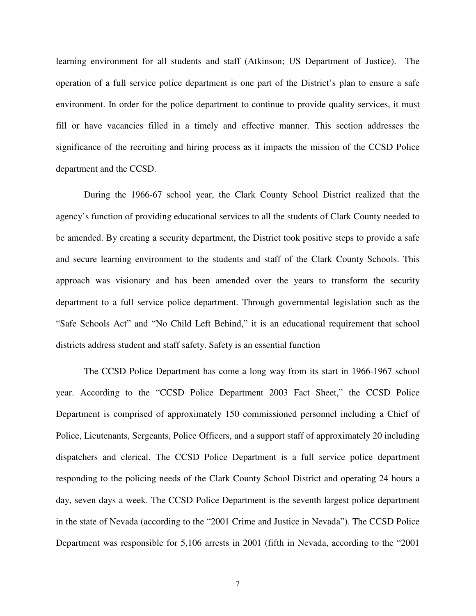learning environment for all students and staff (Atkinson; US Department of Justice). The operation of a full service police department is one part of the District's plan to ensure a safe environment. In order for the police department to continue to provide quality services, it must fill or have vacancies filled in a timely and effective manner. This section addresses the significance of the recruiting and hiring process as it impacts the mission of the CCSD Police department and the CCSD.

During the 1966-67 school year, the Clark County School District realized that the agency's function of providing educational services to all the students of Clark County needed to be amended. By creating a security department, the District took positive steps to provide a safe and secure learning environment to the students and staff of the Clark County Schools. This approach was visionary and has been amended over the years to transform the security department to a full service police department. Through governmental legislation such as the "Safe Schools Act" and "No Child Left Behind," it is an educational requirement that school districts address student and staff safety. Safety is an essential function

The CCSD Police Department has come a long way from its start in 1966-1967 school year. According to the "CCSD Police Department 2003 Fact Sheet," the CCSD Police Department is comprised of approximately 150 commissioned personnel including a Chief of Police, Lieutenants, Sergeants, Police Officers, and a support staff of approximately 20 including dispatchers and clerical. The CCSD Police Department is a full service police department responding to the policing needs of the Clark County School District and operating 24 hours a day, seven days a week. The CCSD Police Department is the seventh largest police department in the state of Nevada (according to the "2001 Crime and Justice in Nevada"). The CCSD Police Department was responsible for 5,106 arrests in 2001 (fifth in Nevada, according to the "2001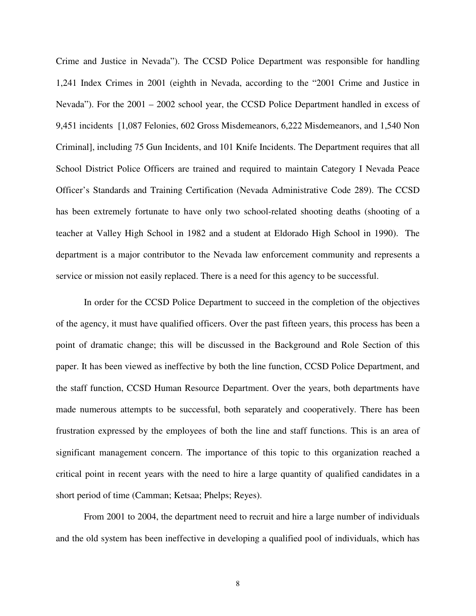Crime and Justice in Nevada"). The CCSD Police Department was responsible for handling 1,241 Index Crimes in 2001 (eighth in Nevada, according to the "2001 Crime and Justice in Nevada"). For the 2001 – 2002 school year, the CCSD Police Department handled in excess of 9,451 incidents [1,087 Felonies, 602 Gross Misdemeanors, 6,222 Misdemeanors, and 1,540 Non Criminal], including 75 Gun Incidents, and 101 Knife Incidents. The Department requires that all School District Police Officers are trained and required to maintain Category I Nevada Peace Officer's Standards and Training Certification (Nevada Administrative Code 289). The CCSD has been extremely fortunate to have only two school-related shooting deaths (shooting of a teacher at Valley High School in 1982 and a student at Eldorado High School in 1990). The department is a major contributor to the Nevada law enforcement community and represents a service or mission not easily replaced. There is a need for this agency to be successful.

In order for the CCSD Police Department to succeed in the completion of the objectives of the agency, it must have qualified officers. Over the past fifteen years, this process has been a point of dramatic change; this will be discussed in the Background and Role Section of this paper. It has been viewed as ineffective by both the line function, CCSD Police Department, and the staff function, CCSD Human Resource Department. Over the years, both departments have made numerous attempts to be successful, both separately and cooperatively. There has been frustration expressed by the employees of both the line and staff functions. This is an area of significant management concern. The importance of this topic to this organization reached a critical point in recent years with the need to hire a large quantity of qualified candidates in a short period of time (Camman; Ketsaa; Phelps; Reyes).

From 2001 to 2004, the department need to recruit and hire a large number of individuals and the old system has been ineffective in developing a qualified pool of individuals, which has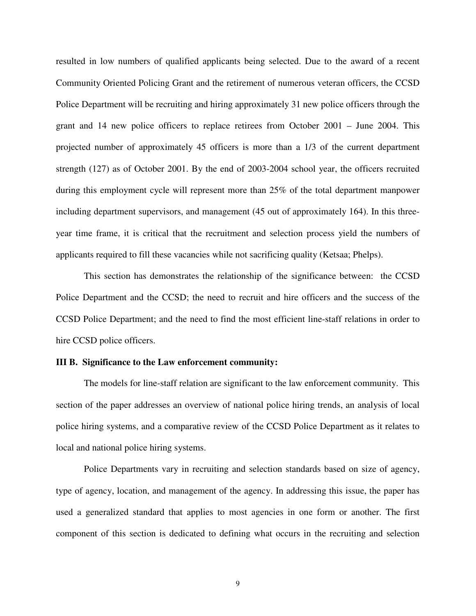resulted in low numbers of qualified applicants being selected. Due to the award of a recent Community Oriented Policing Grant and the retirement of numerous veteran officers, the CCSD Police Department will be recruiting and hiring approximately 31 new police officers through the grant and 14 new police officers to replace retirees from October 2001 – June 2004. This projected number of approximately 45 officers is more than a 1/3 of the current department strength (127) as of October 2001. By the end of 2003-2004 school year, the officers recruited during this employment cycle will represent more than 25% of the total department manpower including department supervisors, and management (45 out of approximately 164). In this threeyear time frame, it is critical that the recruitment and selection process yield the numbers of applicants required to fill these vacancies while not sacrificing quality (Ketsaa; Phelps).

This section has demonstrates the relationship of the significance between: the CCSD Police Department and the CCSD; the need to recruit and hire officers and the success of the CCSD Police Department; and the need to find the most efficient line-staff relations in order to hire CCSD police officers.

#### **III B. Significance to the Law enforcement community:**

 The models for line-staff relation are significant to the law enforcement community. This section of the paper addresses an overview of national police hiring trends, an analysis of local police hiring systems, and a comparative review of the CCSD Police Department as it relates to local and national police hiring systems.

Police Departments vary in recruiting and selection standards based on size of agency, type of agency, location, and management of the agency. In addressing this issue, the paper has used a generalized standard that applies to most agencies in one form or another. The first component of this section is dedicated to defining what occurs in the recruiting and selection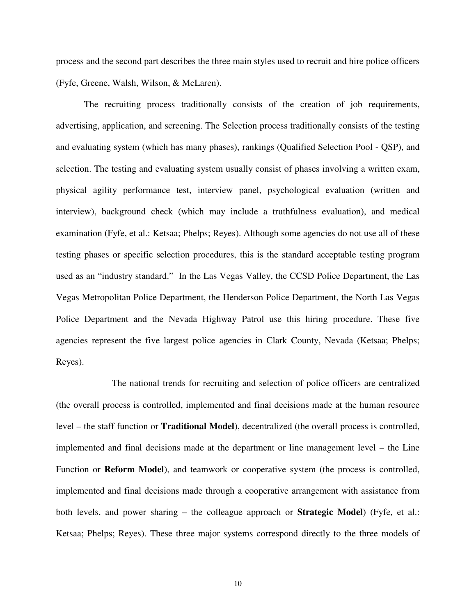process and the second part describes the three main styles used to recruit and hire police officers (Fyfe, Greene, Walsh, Wilson, & McLaren).

The recruiting process traditionally consists of the creation of job requirements, advertising, application, and screening. The Selection process traditionally consists of the testing and evaluating system (which has many phases), rankings (Qualified Selection Pool - QSP), and selection. The testing and evaluating system usually consist of phases involving a written exam, physical agility performance test, interview panel, psychological evaluation (written and interview), background check (which may include a truthfulness evaluation), and medical examination (Fyfe, et al.: Ketsaa; Phelps; Reyes). Although some agencies do not use all of these testing phases or specific selection procedures, this is the standard acceptable testing program used as an "industry standard." In the Las Vegas Valley, the CCSD Police Department, the Las Vegas Metropolitan Police Department, the Henderson Police Department, the North Las Vegas Police Department and the Nevada Highway Patrol use this hiring procedure. These five agencies represent the five largest police agencies in Clark County, Nevada (Ketsaa; Phelps; Reyes).

 The national trends for recruiting and selection of police officers are centralized (the overall process is controlled, implemented and final decisions made at the human resource level – the staff function or **Traditional Model**), decentralized (the overall process is controlled, implemented and final decisions made at the department or line management level – the Line Function or **Reform Model**), and teamwork or cooperative system (the process is controlled, implemented and final decisions made through a cooperative arrangement with assistance from both levels, and power sharing – the colleague approach or **Strategic Model**) (Fyfe, et al.: Ketsaa; Phelps; Reyes). These three major systems correspond directly to the three models of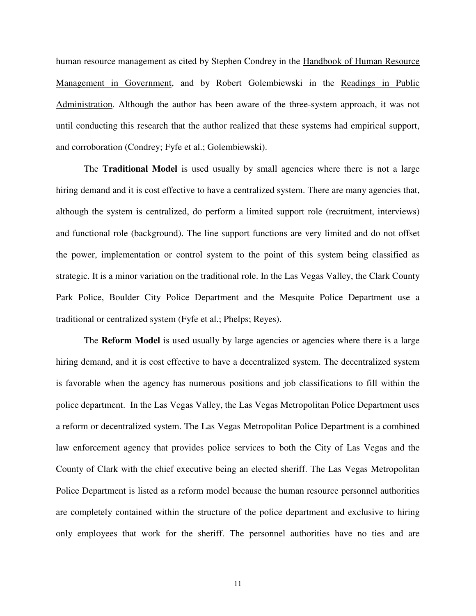human resource management as cited by Stephen Condrey in the Handbook of Human Resource Management in Government, and by Robert Golembiewski in the Readings in Public Administration. Although the author has been aware of the three-system approach, it was not until conducting this research that the author realized that these systems had empirical support, and corroboration (Condrey; Fyfe et al.; Golembiewski).

The **Traditional Model** is used usually by small agencies where there is not a large hiring demand and it is cost effective to have a centralized system. There are many agencies that, although the system is centralized, do perform a limited support role (recruitment, interviews) and functional role (background). The line support functions are very limited and do not offset the power, implementation or control system to the point of this system being classified as strategic. It is a minor variation on the traditional role. In the Las Vegas Valley, the Clark County Park Police, Boulder City Police Department and the Mesquite Police Department use a traditional or centralized system (Fyfe et al.; Phelps; Reyes).

The **Reform Model** is used usually by large agencies or agencies where there is a large hiring demand, and it is cost effective to have a decentralized system. The decentralized system is favorable when the agency has numerous positions and job classifications to fill within the police department. In the Las Vegas Valley, the Las Vegas Metropolitan Police Department uses a reform or decentralized system. The Las Vegas Metropolitan Police Department is a combined law enforcement agency that provides police services to both the City of Las Vegas and the County of Clark with the chief executive being an elected sheriff. The Las Vegas Metropolitan Police Department is listed as a reform model because the human resource personnel authorities are completely contained within the structure of the police department and exclusive to hiring only employees that work for the sheriff. The personnel authorities have no ties and are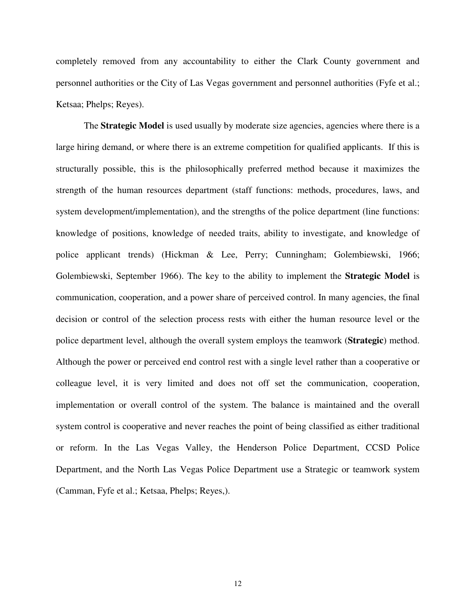completely removed from any accountability to either the Clark County government and personnel authorities or the City of Las Vegas government and personnel authorities (Fyfe et al.; Ketsaa; Phelps; Reyes).

The **Strategic Model** is used usually by moderate size agencies, agencies where there is a large hiring demand, or where there is an extreme competition for qualified applicants. If this is structurally possible, this is the philosophically preferred method because it maximizes the strength of the human resources department (staff functions: methods, procedures, laws, and system development/implementation), and the strengths of the police department (line functions: knowledge of positions, knowledge of needed traits, ability to investigate, and knowledge of police applicant trends) (Hickman & Lee, Perry; Cunningham; Golembiewski, 1966; Golembiewski, September 1966). The key to the ability to implement the **Strategic Model** is communication, cooperation, and a power share of perceived control. In many agencies, the final decision or control of the selection process rests with either the human resource level or the police department level, although the overall system employs the teamwork (**Strategic**) method. Although the power or perceived end control rest with a single level rather than a cooperative or colleague level, it is very limited and does not off set the communication, cooperation, implementation or overall control of the system. The balance is maintained and the overall system control is cooperative and never reaches the point of being classified as either traditional or reform. In the Las Vegas Valley, the Henderson Police Department, CCSD Police Department, and the North Las Vegas Police Department use a Strategic or teamwork system (Camman, Fyfe et al.; Ketsaa, Phelps; Reyes,).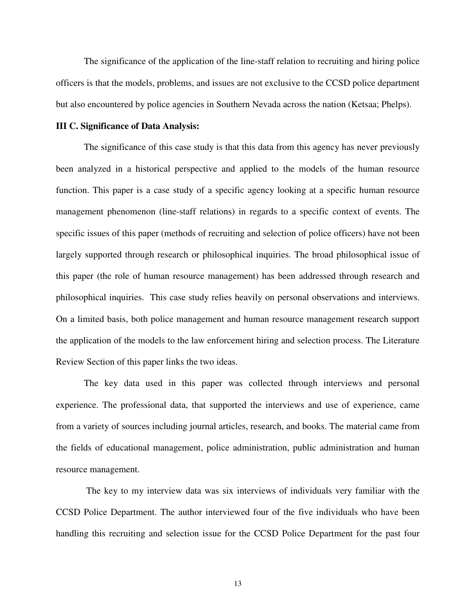The significance of the application of the line-staff relation to recruiting and hiring police officers is that the models, problems, and issues are not exclusive to the CCSD police department but also encountered by police agencies in Southern Nevada across the nation (Ketsaa; Phelps).

#### **III C. Significance of Data Analysis:**

The significance of this case study is that this data from this agency has never previously been analyzed in a historical perspective and applied to the models of the human resource function. This paper is a case study of a specific agency looking at a specific human resource management phenomenon (line-staff relations) in regards to a specific context of events. The specific issues of this paper (methods of recruiting and selection of police officers) have not been largely supported through research or philosophical inquiries. The broad philosophical issue of this paper (the role of human resource management) has been addressed through research and philosophical inquiries. This case study relies heavily on personal observations and interviews. On a limited basis, both police management and human resource management research support the application of the models to the law enforcement hiring and selection process. The Literature Review Section of this paper links the two ideas.

The key data used in this paper was collected through interviews and personal experience. The professional data, that supported the interviews and use of experience, came from a variety of sources including journal articles, research, and books. The material came from the fields of educational management, police administration, public administration and human resource management.

 The key to my interview data was six interviews of individuals very familiar with the CCSD Police Department. The author interviewed four of the five individuals who have been handling this recruiting and selection issue for the CCSD Police Department for the past four

13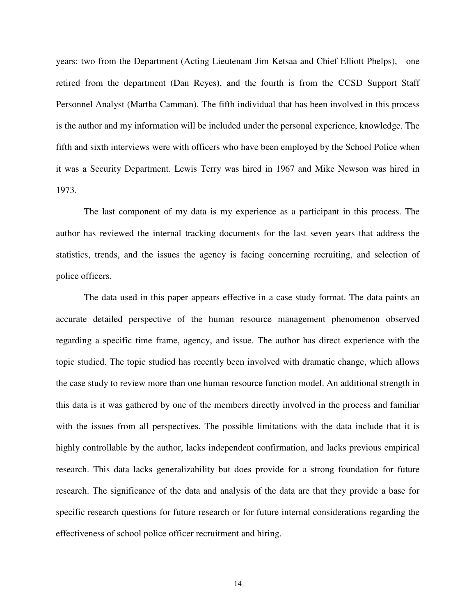years: two from the Department (Acting Lieutenant Jim Ketsaa and Chief Elliott Phelps), one retired from the department (Dan Reyes), and the fourth is from the CCSD Support Staff Personnel Analyst (Martha Camman). The fifth individual that has been involved in this process is the author and my information will be included under the personal experience, knowledge. The fifth and sixth interviews were with officers who have been employed by the School Police when it was a Security Department. Lewis Terry was hired in 1967 and Mike Newson was hired in 1973.

The last component of my data is my experience as a participant in this process. The author has reviewed the internal tracking documents for the last seven years that address the statistics, trends, and the issues the agency is facing concerning recruiting, and selection of police officers.

The data used in this paper appears effective in a case study format. The data paints an accurate detailed perspective of the human resource management phenomenon observed regarding a specific time frame, agency, and issue. The author has direct experience with the topic studied. The topic studied has recently been involved with dramatic change, which allows the case study to review more than one human resource function model. An additional strength in this data is it was gathered by one of the members directly involved in the process and familiar with the issues from all perspectives. The possible limitations with the data include that it is highly controllable by the author, lacks independent confirmation, and lacks previous empirical research. This data lacks generalizability but does provide for a strong foundation for future research. The significance of the data and analysis of the data are that they provide a base for specific research questions for future research or for future internal considerations regarding the effectiveness of school police officer recruitment and hiring.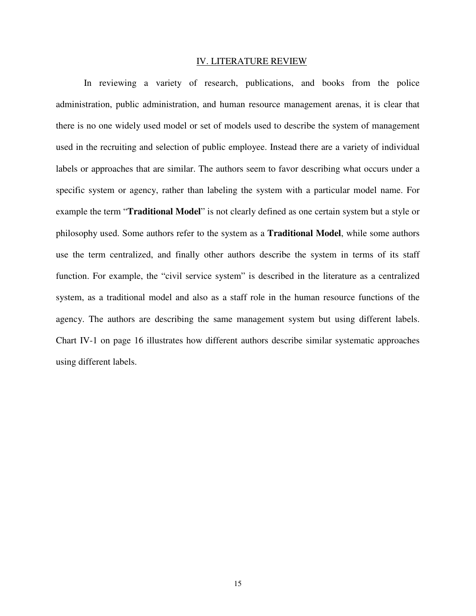#### IV. LITERATURE REVIEW

In reviewing a variety of research, publications, and books from the police administration, public administration, and human resource management arenas, it is clear that there is no one widely used model or set of models used to describe the system of management used in the recruiting and selection of public employee. Instead there are a variety of individual labels or approaches that are similar. The authors seem to favor describing what occurs under a specific system or agency, rather than labeling the system with a particular model name. For example the term "**Traditional Model**" is not clearly defined as one certain system but a style or philosophy used. Some authors refer to the system as a **Traditional Model**, while some authors use the term centralized, and finally other authors describe the system in terms of its staff function. For example, the "civil service system" is described in the literature as a centralized system, as a traditional model and also as a staff role in the human resource functions of the agency. The authors are describing the same management system but using different labels. Chart IV-1 on page 16 illustrates how different authors describe similar systematic approaches using different labels.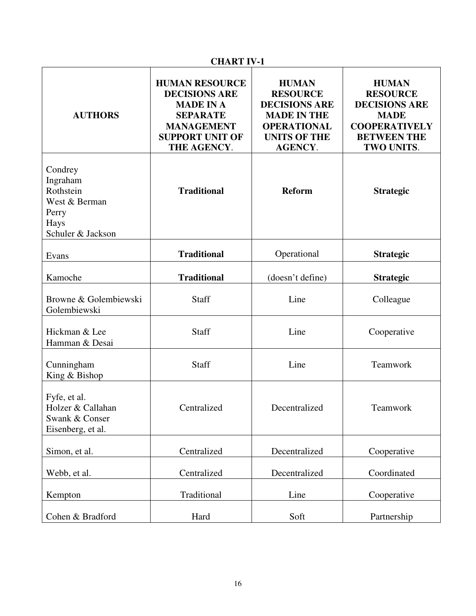| <b>CHART IV-1</b>                                                                       |                                                                                                                                                    |                                                                                                                                              |                                                                                                                                    |
|-----------------------------------------------------------------------------------------|----------------------------------------------------------------------------------------------------------------------------------------------------|----------------------------------------------------------------------------------------------------------------------------------------------|------------------------------------------------------------------------------------------------------------------------------------|
| <b>AUTHORS</b>                                                                          | <b>HUMAN RESOURCE</b><br><b>DECISIONS ARE</b><br><b>MADE IN A</b><br><b>SEPARATE</b><br><b>MANAGEMENT</b><br><b>SUPPORT UNIT OF</b><br>THE AGENCY. | <b>HUMAN</b><br><b>RESOURCE</b><br><b>DECISIONS ARE</b><br><b>MADE IN THE</b><br><b>OPERATIONAL</b><br><b>UNITS OF THE</b><br><b>AGENCY.</b> | <b>HUMAN</b><br><b>RESOURCE</b><br><b>DECISIONS ARE</b><br><b>MADE</b><br><b>COOPERATIVELY</b><br><b>BETWEEN THE</b><br>TWO UNITS. |
| Condrey<br>Ingraham<br>Rothstein<br>West & Berman<br>Perry<br>Hays<br>Schuler & Jackson | <b>Traditional</b>                                                                                                                                 | <b>Reform</b>                                                                                                                                | <b>Strategic</b>                                                                                                                   |
| Evans                                                                                   | <b>Traditional</b>                                                                                                                                 | Operational                                                                                                                                  | <b>Strategic</b>                                                                                                                   |
| Kamoche                                                                                 | <b>Traditional</b>                                                                                                                                 | (doesn't define)                                                                                                                             | <b>Strategic</b>                                                                                                                   |
| Browne & Golembiewski<br>Golembiewski                                                   | Staff                                                                                                                                              | Line                                                                                                                                         | Colleague                                                                                                                          |
| Hickman & Lee<br>Hamman & Desai                                                         | Staff                                                                                                                                              | Line                                                                                                                                         | Cooperative                                                                                                                        |
| Cunningham<br>King & Bishop                                                             | Staff                                                                                                                                              | Line                                                                                                                                         | Teamwork                                                                                                                           |
| Fyfe, et al.<br>Holzer & Callahan<br>Swank & Conser<br>Eisenberg, et al.                | Centralized                                                                                                                                        | Decentralized                                                                                                                                | Teamwork                                                                                                                           |
| Simon, et al.                                                                           | Centralized                                                                                                                                        | Decentralized                                                                                                                                | Cooperative                                                                                                                        |
| Webb, et al.                                                                            | Centralized                                                                                                                                        | Decentralized                                                                                                                                | Coordinated                                                                                                                        |
| Kempton                                                                                 | Traditional                                                                                                                                        | Line                                                                                                                                         | Cooperative                                                                                                                        |
| Cohen & Bradford                                                                        | Hard                                                                                                                                               | Soft                                                                                                                                         | Partnership                                                                                                                        |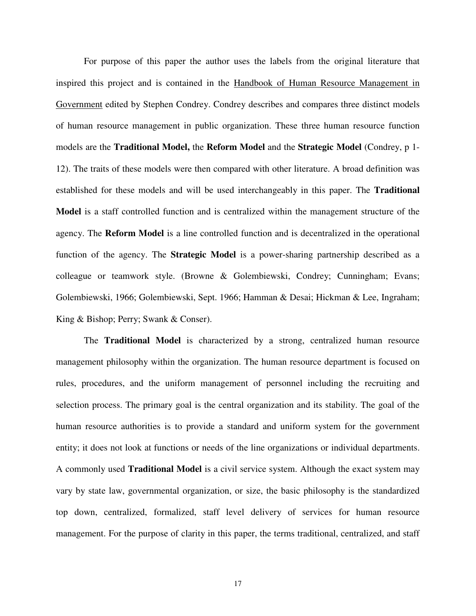For purpose of this paper the author uses the labels from the original literature that inspired this project and is contained in the Handbook of Human Resource Management in Government edited by Stephen Condrey. Condrey describes and compares three distinct models of human resource management in public organization. These three human resource function models are the **Traditional Model,** the **Reform Model** and the **Strategic Model** (Condrey, p 1- 12). The traits of these models were then compared with other literature. A broad definition was established for these models and will be used interchangeably in this paper. The **Traditional Model** is a staff controlled function and is centralized within the management structure of the agency. The **Reform Model** is a line controlled function and is decentralized in the operational function of the agency. The **Strategic Model** is a power-sharing partnership described as a colleague or teamwork style. (Browne & Golembiewski, Condrey; Cunningham; Evans; Golembiewski, 1966; Golembiewski, Sept. 1966; Hamman & Desai; Hickman & Lee, Ingraham; King & Bishop; Perry; Swank & Conser).

The **Traditional Model** is characterized by a strong, centralized human resource management philosophy within the organization. The human resource department is focused on rules, procedures, and the uniform management of personnel including the recruiting and selection process. The primary goal is the central organization and its stability. The goal of the human resource authorities is to provide a standard and uniform system for the government entity; it does not look at functions or needs of the line organizations or individual departments. A commonly used **Traditional Model** is a civil service system. Although the exact system may vary by state law, governmental organization, or size, the basic philosophy is the standardized top down, centralized, formalized, staff level delivery of services for human resource management. For the purpose of clarity in this paper, the terms traditional, centralized, and staff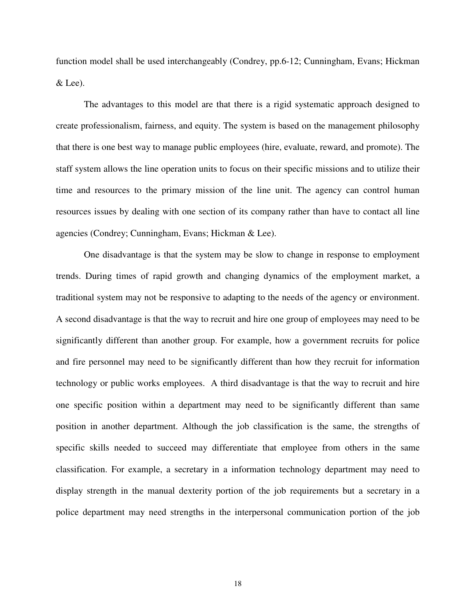function model shall be used interchangeably (Condrey, pp.6-12; Cunningham, Evans; Hickman & Lee).

The advantages to this model are that there is a rigid systematic approach designed to create professionalism, fairness, and equity. The system is based on the management philosophy that there is one best way to manage public employees (hire, evaluate, reward, and promote). The staff system allows the line operation units to focus on their specific missions and to utilize their time and resources to the primary mission of the line unit. The agency can control human resources issues by dealing with one section of its company rather than have to contact all line agencies (Condrey; Cunningham, Evans; Hickman & Lee).

One disadvantage is that the system may be slow to change in response to employment trends. During times of rapid growth and changing dynamics of the employment market, a traditional system may not be responsive to adapting to the needs of the agency or environment. A second disadvantage is that the way to recruit and hire one group of employees may need to be significantly different than another group. For example, how a government recruits for police and fire personnel may need to be significantly different than how they recruit for information technology or public works employees. A third disadvantage is that the way to recruit and hire one specific position within a department may need to be significantly different than same position in another department. Although the job classification is the same, the strengths of specific skills needed to succeed may differentiate that employee from others in the same classification. For example, a secretary in a information technology department may need to display strength in the manual dexterity portion of the job requirements but a secretary in a police department may need strengths in the interpersonal communication portion of the job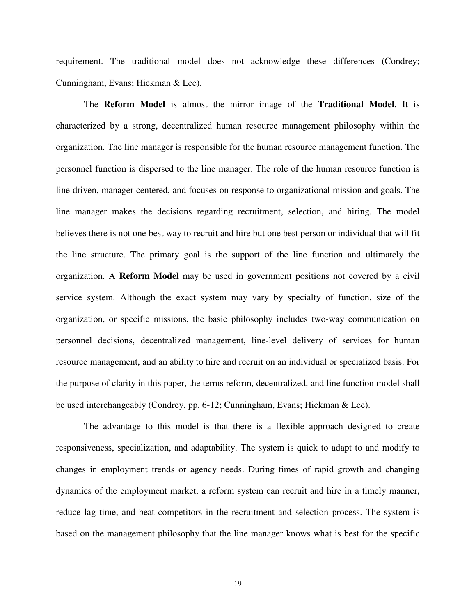requirement. The traditional model does not acknowledge these differences (Condrey; Cunningham, Evans; Hickman & Lee).

The **Reform Model** is almost the mirror image of the **Traditional Model**. It is characterized by a strong, decentralized human resource management philosophy within the organization. The line manager is responsible for the human resource management function. The personnel function is dispersed to the line manager. The role of the human resource function is line driven, manager centered, and focuses on response to organizational mission and goals. The line manager makes the decisions regarding recruitment, selection, and hiring. The model believes there is not one best way to recruit and hire but one best person or individual that will fit the line structure. The primary goal is the support of the line function and ultimately the organization. A **Reform Model** may be used in government positions not covered by a civil service system. Although the exact system may vary by specialty of function, size of the organization, or specific missions, the basic philosophy includes two-way communication on personnel decisions, decentralized management, line-level delivery of services for human resource management, and an ability to hire and recruit on an individual or specialized basis. For the purpose of clarity in this paper, the terms reform, decentralized, and line function model shall be used interchangeably (Condrey, pp. 6-12; Cunningham, Evans; Hickman & Lee).

The advantage to this model is that there is a flexible approach designed to create responsiveness, specialization, and adaptability. The system is quick to adapt to and modify to changes in employment trends or agency needs. During times of rapid growth and changing dynamics of the employment market, a reform system can recruit and hire in a timely manner, reduce lag time, and beat competitors in the recruitment and selection process. The system is based on the management philosophy that the line manager knows what is best for the specific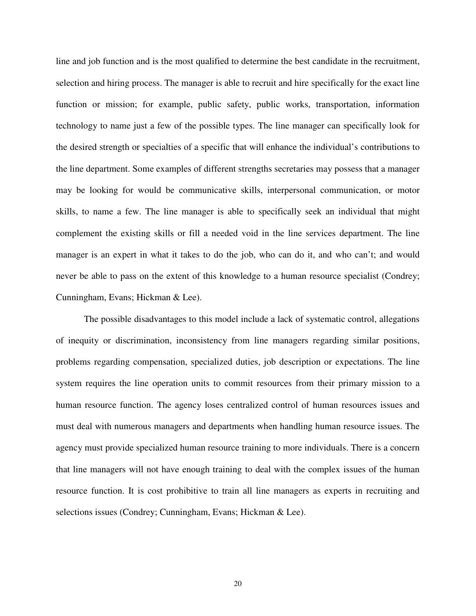line and job function and is the most qualified to determine the best candidate in the recruitment, selection and hiring process. The manager is able to recruit and hire specifically for the exact line function or mission; for example, public safety, public works, transportation, information technology to name just a few of the possible types. The line manager can specifically look for the desired strength or specialties of a specific that will enhance the individual's contributions to the line department. Some examples of different strengths secretaries may possess that a manager may be looking for would be communicative skills, interpersonal communication, or motor skills, to name a few. The line manager is able to specifically seek an individual that might complement the existing skills or fill a needed void in the line services department. The line manager is an expert in what it takes to do the job, who can do it, and who can't; and would never be able to pass on the extent of this knowledge to a human resource specialist (Condrey; Cunningham, Evans; Hickman & Lee).

The possible disadvantages to this model include a lack of systematic control, allegations of inequity or discrimination, inconsistency from line managers regarding similar positions, problems regarding compensation, specialized duties, job description or expectations. The line system requires the line operation units to commit resources from their primary mission to a human resource function. The agency loses centralized control of human resources issues and must deal with numerous managers and departments when handling human resource issues. The agency must provide specialized human resource training to more individuals. There is a concern that line managers will not have enough training to deal with the complex issues of the human resource function. It is cost prohibitive to train all line managers as experts in recruiting and selections issues (Condrey; Cunningham, Evans; Hickman & Lee).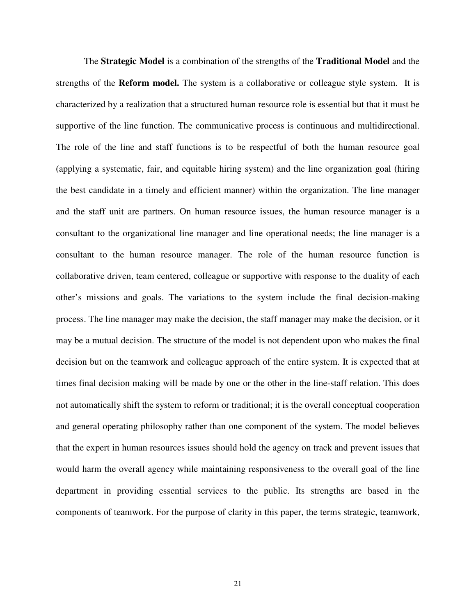The **Strategic Model** is a combination of the strengths of the **Traditional Model** and the strengths of the **Reform model.** The system is a collaborative or colleague style system. It is characterized by a realization that a structured human resource role is essential but that it must be supportive of the line function. The communicative process is continuous and multidirectional. The role of the line and staff functions is to be respectful of both the human resource goal (applying a systematic, fair, and equitable hiring system) and the line organization goal (hiring the best candidate in a timely and efficient manner) within the organization. The line manager and the staff unit are partners. On human resource issues, the human resource manager is a consultant to the organizational line manager and line operational needs; the line manager is a consultant to the human resource manager. The role of the human resource function is collaborative driven, team centered, colleague or supportive with response to the duality of each other's missions and goals. The variations to the system include the final decision-making process. The line manager may make the decision, the staff manager may make the decision, or it may be a mutual decision. The structure of the model is not dependent upon who makes the final decision but on the teamwork and colleague approach of the entire system. It is expected that at times final decision making will be made by one or the other in the line-staff relation. This does not automatically shift the system to reform or traditional; it is the overall conceptual cooperation and general operating philosophy rather than one component of the system. The model believes that the expert in human resources issues should hold the agency on track and prevent issues that would harm the overall agency while maintaining responsiveness to the overall goal of the line department in providing essential services to the public. Its strengths are based in the components of teamwork. For the purpose of clarity in this paper, the terms strategic, teamwork,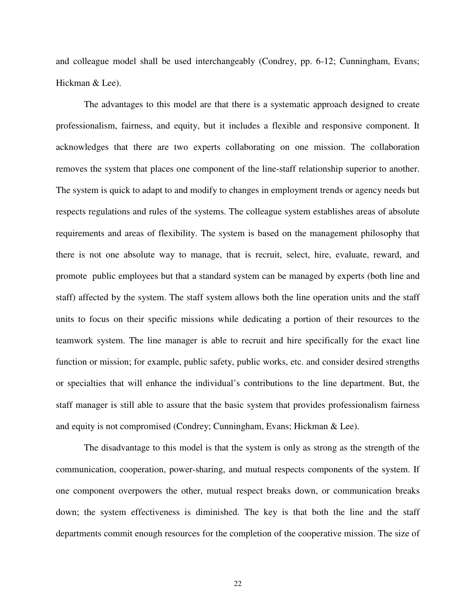and colleague model shall be used interchangeably (Condrey, pp. 6-12; Cunningham, Evans; Hickman & Lee).

The advantages to this model are that there is a systematic approach designed to create professionalism, fairness, and equity, but it includes a flexible and responsive component. It acknowledges that there are two experts collaborating on one mission. The collaboration removes the system that places one component of the line-staff relationship superior to another. The system is quick to adapt to and modify to changes in employment trends or agency needs but respects regulations and rules of the systems. The colleague system establishes areas of absolute requirements and areas of flexibility. The system is based on the management philosophy that there is not one absolute way to manage, that is recruit, select, hire, evaluate, reward, and promote public employees but that a standard system can be managed by experts (both line and staff) affected by the system. The staff system allows both the line operation units and the staff units to focus on their specific missions while dedicating a portion of their resources to the teamwork system. The line manager is able to recruit and hire specifically for the exact line function or mission; for example, public safety, public works, etc. and consider desired strengths or specialties that will enhance the individual's contributions to the line department. But, the staff manager is still able to assure that the basic system that provides professionalism fairness and equity is not compromised (Condrey; Cunningham, Evans; Hickman & Lee).

The disadvantage to this model is that the system is only as strong as the strength of the communication, cooperation, power-sharing, and mutual respects components of the system. If one component overpowers the other, mutual respect breaks down, or communication breaks down; the system effectiveness is diminished. The key is that both the line and the staff departments commit enough resources for the completion of the cooperative mission. The size of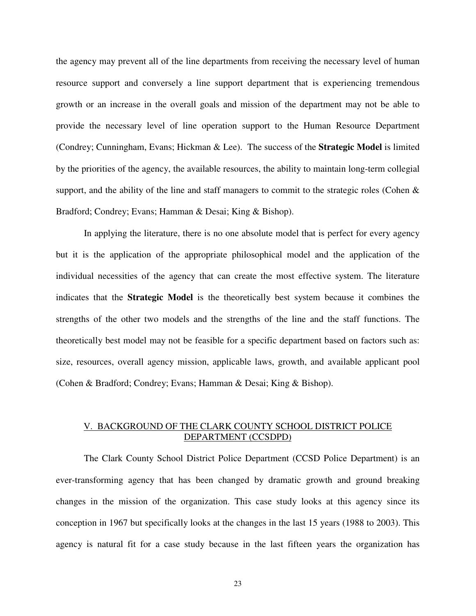the agency may prevent all of the line departments from receiving the necessary level of human resource support and conversely a line support department that is experiencing tremendous growth or an increase in the overall goals and mission of the department may not be able to provide the necessary level of line operation support to the Human Resource Department (Condrey; Cunningham, Evans; Hickman & Lee). The success of the **Strategic Model** is limited by the priorities of the agency, the available resources, the ability to maintain long-term collegial support, and the ability of the line and staff managers to commit to the strategic roles (Cohen & Bradford; Condrey; Evans; Hamman & Desai; King & Bishop).

In applying the literature, there is no one absolute model that is perfect for every agency but it is the application of the appropriate philosophical model and the application of the individual necessities of the agency that can create the most effective system. The literature indicates that the **Strategic Model** is the theoretically best system because it combines the strengths of the other two models and the strengths of the line and the staff functions. The theoretically best model may not be feasible for a specific department based on factors such as: size, resources, overall agency mission, applicable laws, growth, and available applicant pool (Cohen & Bradford; Condrey; Evans; Hamman & Desai; King & Bishop).

### V. BACKGROUND OF THE CLARK COUNTY SCHOOL DISTRICT POLICE DEPARTMENT (CCSDPD)

The Clark County School District Police Department (CCSD Police Department) is an ever-transforming agency that has been changed by dramatic growth and ground breaking changes in the mission of the organization. This case study looks at this agency since its conception in 1967 but specifically looks at the changes in the last 15 years (1988 to 2003). This agency is natural fit for a case study because in the last fifteen years the organization has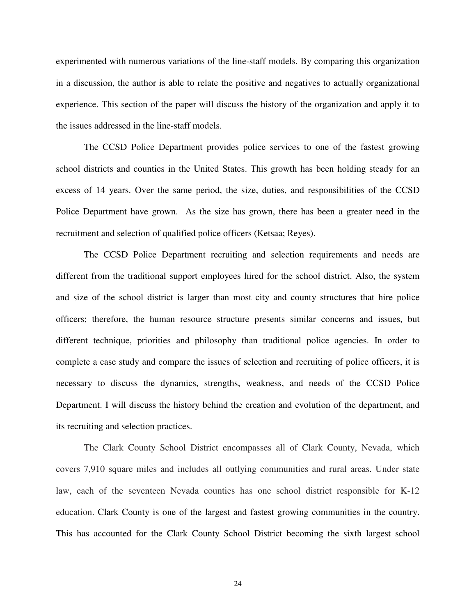experimented with numerous variations of the line-staff models. By comparing this organization in a discussion, the author is able to relate the positive and negatives to actually organizational experience. This section of the paper will discuss the history of the organization and apply it to the issues addressed in the line-staff models.

The CCSD Police Department provides police services to one of the fastest growing school districts and counties in the United States. This growth has been holding steady for an excess of 14 years. Over the same period, the size, duties, and responsibilities of the CCSD Police Department have grown. As the size has grown, there has been a greater need in the recruitment and selection of qualified police officers (Ketsaa; Reyes).

The CCSD Police Department recruiting and selection requirements and needs are different from the traditional support employees hired for the school district. Also, the system and size of the school district is larger than most city and county structures that hire police officers; therefore, the human resource structure presents similar concerns and issues, but different technique, priorities and philosophy than traditional police agencies. In order to complete a case study and compare the issues of selection and recruiting of police officers, it is necessary to discuss the dynamics, strengths, weakness, and needs of the CCSD Police Department. I will discuss the history behind the creation and evolution of the department, and its recruiting and selection practices.

The Clark County School District encompasses all of Clark County, Nevada, which covers 7,910 square miles and includes all outlying communities and rural areas. Under state law, each of the seventeen Nevada counties has one school district responsible for K-12 education. Clark County is one of the largest and fastest growing communities in the country. This has accounted for the Clark County School District becoming the sixth largest school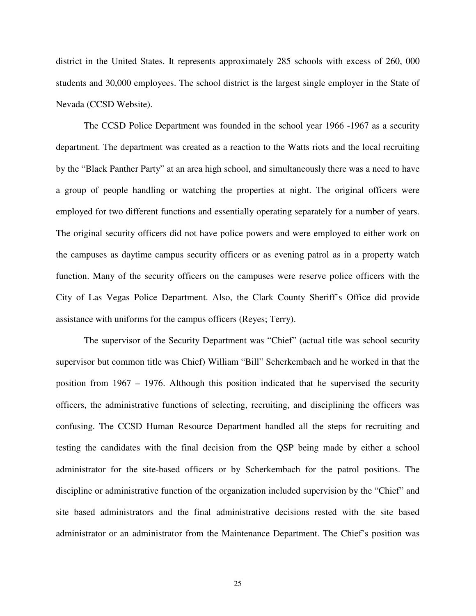district in the United States. It represents approximately 285 schools with excess of 260, 000 students and 30,000 employees. The school district is the largest single employer in the State of Nevada (CCSD Website).

The CCSD Police Department was founded in the school year 1966 -1967 as a security department. The department was created as a reaction to the Watts riots and the local recruiting by the "Black Panther Party" at an area high school, and simultaneously there was a need to have a group of people handling or watching the properties at night. The original officers were employed for two different functions and essentially operating separately for a number of years. The original security officers did not have police powers and were employed to either work on the campuses as daytime campus security officers or as evening patrol as in a property watch function. Many of the security officers on the campuses were reserve police officers with the City of Las Vegas Police Department. Also, the Clark County Sheriff's Office did provide assistance with uniforms for the campus officers (Reyes; Terry).

The supervisor of the Security Department was "Chief" (actual title was school security supervisor but common title was Chief) William "Bill" Scherkembach and he worked in that the position from 1967 – 1976. Although this position indicated that he supervised the security officers, the administrative functions of selecting, recruiting, and disciplining the officers was confusing. The CCSD Human Resource Department handled all the steps for recruiting and testing the candidates with the final decision from the QSP being made by either a school administrator for the site-based officers or by Scherkembach for the patrol positions. The discipline or administrative function of the organization included supervision by the "Chief" and site based administrators and the final administrative decisions rested with the site based administrator or an administrator from the Maintenance Department. The Chief's position was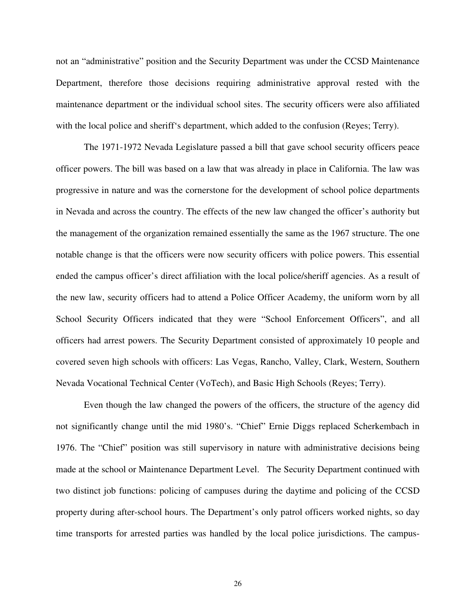not an "administrative" position and the Security Department was under the CCSD Maintenance Department, therefore those decisions requiring administrative approval rested with the maintenance department or the individual school sites. The security officers were also affiliated with the local police and sheriff's department, which added to the confusion (Reyes; Terry).

 The 1971-1972 Nevada Legislature passed a bill that gave school security officers peace officer powers. The bill was based on a law that was already in place in California. The law was progressive in nature and was the cornerstone for the development of school police departments in Nevada and across the country. The effects of the new law changed the officer's authority but the management of the organization remained essentially the same as the 1967 structure. The one notable change is that the officers were now security officers with police powers. This essential ended the campus officer's direct affiliation with the local police/sheriff agencies. As a result of the new law, security officers had to attend a Police Officer Academy, the uniform worn by all School Security Officers indicated that they were "School Enforcement Officers", and all officers had arrest powers. The Security Department consisted of approximately 10 people and covered seven high schools with officers: Las Vegas, Rancho, Valley, Clark, Western, Southern Nevada Vocational Technical Center (VoTech), and Basic High Schools (Reyes; Terry).

Even though the law changed the powers of the officers, the structure of the agency did not significantly change until the mid 1980's. "Chief" Ernie Diggs replaced Scherkembach in 1976. The "Chief" position was still supervisory in nature with administrative decisions being made at the school or Maintenance Department Level. The Security Department continued with two distinct job functions: policing of campuses during the daytime and policing of the CCSD property during after-school hours. The Department's only patrol officers worked nights, so day time transports for arrested parties was handled by the local police jurisdictions. The campus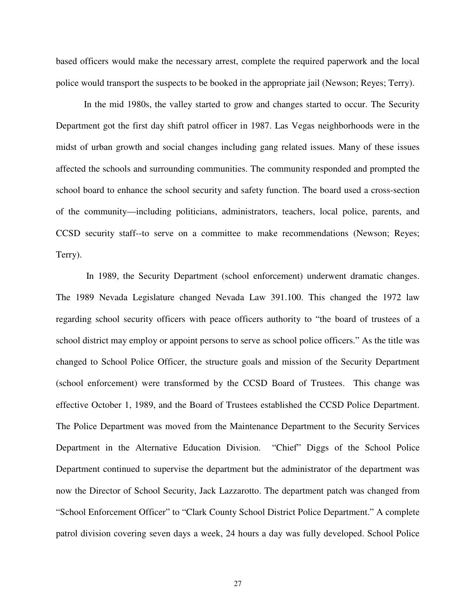based officers would make the necessary arrest, complete the required paperwork and the local police would transport the suspects to be booked in the appropriate jail (Newson; Reyes; Terry).

In the mid 1980s, the valley started to grow and changes started to occur. The Security Department got the first day shift patrol officer in 1987. Las Vegas neighborhoods were in the midst of urban growth and social changes including gang related issues. Many of these issues affected the schools and surrounding communities. The community responded and prompted the school board to enhance the school security and safety function. The board used a cross-section of the community—including politicians, administrators, teachers, local police, parents, and CCSD security staff--to serve on a committee to make recommendations (Newson; Reyes; Terry).

 In 1989, the Security Department (school enforcement) underwent dramatic changes. The 1989 Nevada Legislature changed Nevada Law 391.100. This changed the 1972 law regarding school security officers with peace officers authority to "the board of trustees of a school district may employ or appoint persons to serve as school police officers." As the title was changed to School Police Officer, the structure goals and mission of the Security Department (school enforcement) were transformed by the CCSD Board of Trustees. This change was effective October 1, 1989, and the Board of Trustees established the CCSD Police Department. The Police Department was moved from the Maintenance Department to the Security Services Department in the Alternative Education Division. "Chief" Diggs of the School Police Department continued to supervise the department but the administrator of the department was now the Director of School Security, Jack Lazzarotto. The department patch was changed from "School Enforcement Officer" to "Clark County School District Police Department." A complete patrol division covering seven days a week, 24 hours a day was fully developed. School Police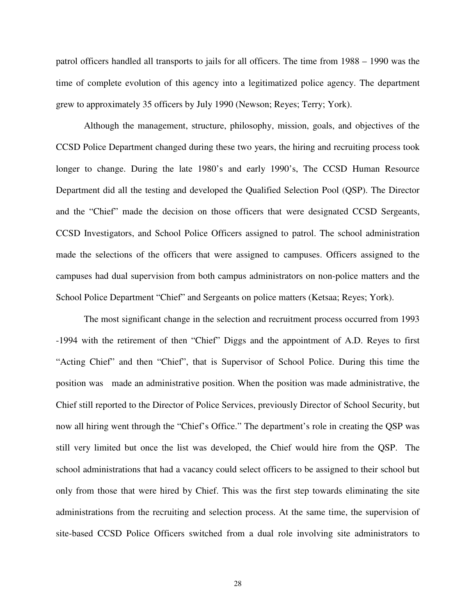patrol officers handled all transports to jails for all officers. The time from 1988 – 1990 was the time of complete evolution of this agency into a legitimatized police agency. The department grew to approximately 35 officers by July 1990 (Newson; Reyes; Terry; York).

Although the management, structure, philosophy, mission, goals, and objectives of the CCSD Police Department changed during these two years, the hiring and recruiting process took longer to change. During the late 1980's and early 1990's, The CCSD Human Resource Department did all the testing and developed the Qualified Selection Pool (QSP). The Director and the "Chief" made the decision on those officers that were designated CCSD Sergeants, CCSD Investigators, and School Police Officers assigned to patrol. The school administration made the selections of the officers that were assigned to campuses. Officers assigned to the campuses had dual supervision from both campus administrators on non-police matters and the School Police Department "Chief" and Sergeants on police matters (Ketsaa; Reyes; York).

The most significant change in the selection and recruitment process occurred from 1993 -1994 with the retirement of then "Chief" Diggs and the appointment of A.D. Reyes to first "Acting Chief" and then "Chief", that is Supervisor of School Police. During this time the position was made an administrative position. When the position was made administrative, the Chief still reported to the Director of Police Services, previously Director of School Security, but now all hiring went through the "Chief's Office." The department's role in creating the QSP was still very limited but once the list was developed, the Chief would hire from the QSP. The school administrations that had a vacancy could select officers to be assigned to their school but only from those that were hired by Chief. This was the first step towards eliminating the site administrations from the recruiting and selection process. At the same time, the supervision of site-based CCSD Police Officers switched from a dual role involving site administrators to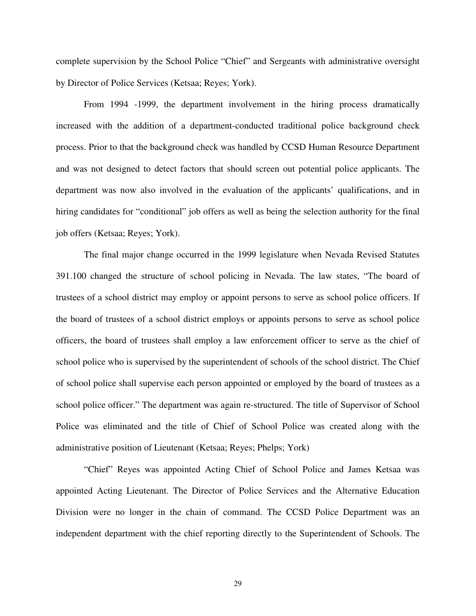complete supervision by the School Police "Chief" and Sergeants with administrative oversight by Director of Police Services (Ketsaa; Reyes; York).

From 1994 -1999, the department involvement in the hiring process dramatically increased with the addition of a department-conducted traditional police background check process. Prior to that the background check was handled by CCSD Human Resource Department and was not designed to detect factors that should screen out potential police applicants. The department was now also involved in the evaluation of the applicants' qualifications, and in hiring candidates for "conditional" job offers as well as being the selection authority for the final job offers (Ketsaa; Reyes; York).

The final major change occurred in the 1999 legislature when Nevada Revised Statutes 391.100 changed the structure of school policing in Nevada. The law states, "The board of trustees of a school district may employ or appoint persons to serve as school police officers. If the board of trustees of a school district employs or appoints persons to serve as school police officers, the board of trustees shall employ a law enforcement officer to serve as the chief of school police who is supervised by the superintendent of schools of the school district. The Chief of school police shall supervise each person appointed or employed by the board of trustees as a school police officer." The department was again re-structured. The title of Supervisor of School Police was eliminated and the title of Chief of School Police was created along with the administrative position of Lieutenant (Ketsaa; Reyes; Phelps; York)

"Chief" Reyes was appointed Acting Chief of School Police and James Ketsaa was appointed Acting Lieutenant. The Director of Police Services and the Alternative Education Division were no longer in the chain of command. The CCSD Police Department was an independent department with the chief reporting directly to the Superintendent of Schools. The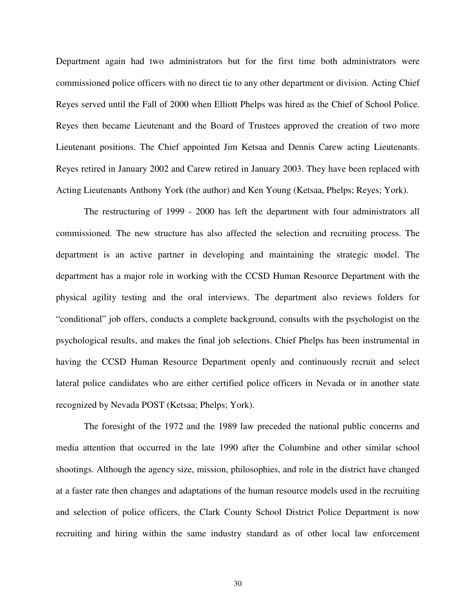Department again had two administrators but for the first time both administrators were commissioned police officers with no direct tie to any other department or division. Acting Chief Reyes served until the Fall of 2000 when Elliott Phelps was hired as the Chief of School Police. Reyes then became Lieutenant and the Board of Trustees approved the creation of two more Lieutenant positions. The Chief appointed Jim Ketsaa and Dennis Carew acting Lieutenants. Reyes retired in January 2002 and Carew retired in January 2003. They have been replaced with Acting Lieutenants Anthony York (the author) and Ken Young (Ketsaa, Phelps; Reyes; York).

The restructuring of 1999 - 2000 has left the department with four administrators all commissioned. The new structure has also affected the selection and recruiting process. The department is an active partner in developing and maintaining the strategic model. The department has a major role in working with the CCSD Human Resource Department with the physical agility testing and the oral interviews. The department also reviews folders for "conditional" job offers, conducts a complete background, consults with the psychologist on the psychological results, and makes the final job selections. Chief Phelps has been instrumental in having the CCSD Human Resource Department openly and continuously recruit and select lateral police candidates who are either certified police officers in Nevada or in another state recognized by Nevada POST (Ketsaa; Phelps; York).

The foresight of the 1972 and the 1989 law preceded the national public concerns and media attention that occurred in the late 1990 after the Columbine and other similar school shootings. Although the agency size, mission, philosophies, and role in the district have changed at a faster rate then changes and adaptations of the human resource models used in the recruiting and selection of police officers, the Clark County School District Police Department is now recruiting and hiring within the same industry standard as of other local law enforcement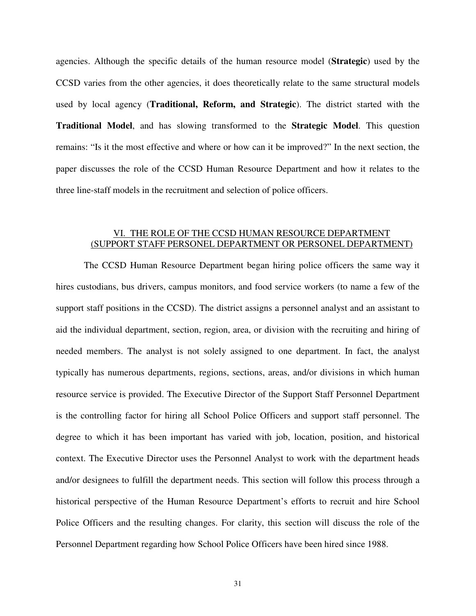agencies. Although the specific details of the human resource model (**Strategic**) used by the CCSD varies from the other agencies, it does theoretically relate to the same structural models used by local agency (**Traditional, Reform, and Strategic**). The district started with the **Traditional Model**, and has slowing transformed to the **Strategic Model**. This question remains: "Is it the most effective and where or how can it be improved?" In the next section, the paper discusses the role of the CCSD Human Resource Department and how it relates to the three line-staff models in the recruitment and selection of police officers.

# VI. THE ROLE OF THE CCSD HUMAN RESOURCE DEPARTMENT (SUPPORT STAFF PERSONEL DEPARTMENT OR PERSONEL DEPARTMENT)

The CCSD Human Resource Department began hiring police officers the same way it hires custodians, bus drivers, campus monitors, and food service workers (to name a few of the support staff positions in the CCSD). The district assigns a personnel analyst and an assistant to aid the individual department, section, region, area, or division with the recruiting and hiring of needed members. The analyst is not solely assigned to one department. In fact, the analyst typically has numerous departments, regions, sections, areas, and/or divisions in which human resource service is provided. The Executive Director of the Support Staff Personnel Department is the controlling factor for hiring all School Police Officers and support staff personnel. The degree to which it has been important has varied with job, location, position, and historical context. The Executive Director uses the Personnel Analyst to work with the department heads and/or designees to fulfill the department needs. This section will follow this process through a historical perspective of the Human Resource Department's efforts to recruit and hire School Police Officers and the resulting changes. For clarity, this section will discuss the role of the Personnel Department regarding how School Police Officers have been hired since 1988.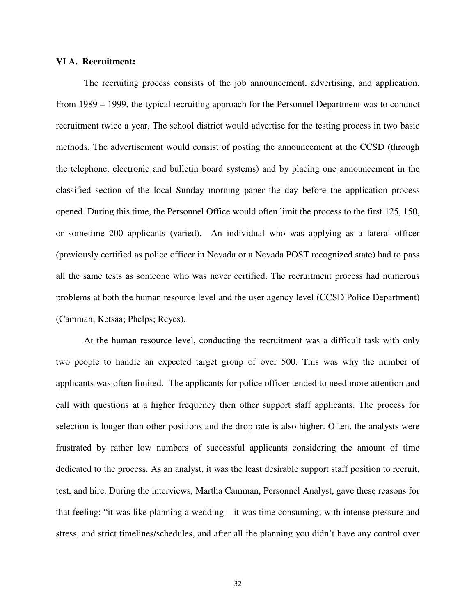#### **VI A. Recruitment:**

The recruiting process consists of the job announcement, advertising, and application. From 1989 – 1999, the typical recruiting approach for the Personnel Department was to conduct recruitment twice a year. The school district would advertise for the testing process in two basic methods. The advertisement would consist of posting the announcement at the CCSD (through the telephone, electronic and bulletin board systems) and by placing one announcement in the classified section of the local Sunday morning paper the day before the application process opened. During this time, the Personnel Office would often limit the process to the first 125, 150, or sometime 200 applicants (varied). An individual who was applying as a lateral officer (previously certified as police officer in Nevada or a Nevada POST recognized state) had to pass all the same tests as someone who was never certified. The recruitment process had numerous problems at both the human resource level and the user agency level (CCSD Police Department) (Camman; Ketsaa; Phelps; Reyes).

At the human resource level, conducting the recruitment was a difficult task with only two people to handle an expected target group of over 500. This was why the number of applicants was often limited. The applicants for police officer tended to need more attention and call with questions at a higher frequency then other support staff applicants. The process for selection is longer than other positions and the drop rate is also higher. Often, the analysts were frustrated by rather low numbers of successful applicants considering the amount of time dedicated to the process. As an analyst, it was the least desirable support staff position to recruit, test, and hire. During the interviews, Martha Camman, Personnel Analyst, gave these reasons for that feeling: "it was like planning a wedding – it was time consuming, with intense pressure and stress, and strict timelines/schedules, and after all the planning you didn't have any control over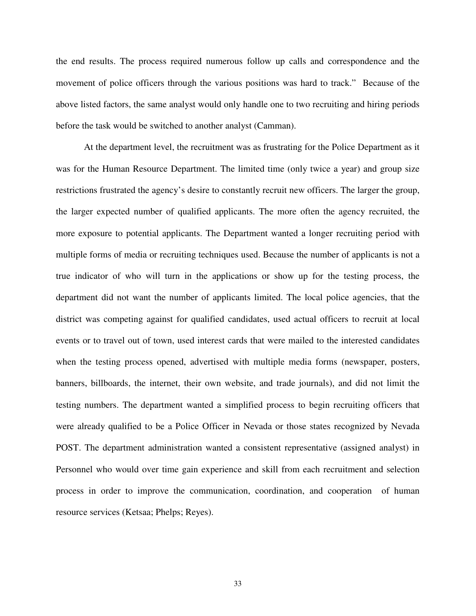the end results. The process required numerous follow up calls and correspondence and the movement of police officers through the various positions was hard to track." Because of the above listed factors, the same analyst would only handle one to two recruiting and hiring periods before the task would be switched to another analyst (Camman).

At the department level, the recruitment was as frustrating for the Police Department as it was for the Human Resource Department. The limited time (only twice a year) and group size restrictions frustrated the agency's desire to constantly recruit new officers. The larger the group, the larger expected number of qualified applicants. The more often the agency recruited, the more exposure to potential applicants. The Department wanted a longer recruiting period with multiple forms of media or recruiting techniques used. Because the number of applicants is not a true indicator of who will turn in the applications or show up for the testing process, the department did not want the number of applicants limited. The local police agencies, that the district was competing against for qualified candidates, used actual officers to recruit at local events or to travel out of town, used interest cards that were mailed to the interested candidates when the testing process opened, advertised with multiple media forms (newspaper, posters, banners, billboards, the internet, their own website, and trade journals), and did not limit the testing numbers. The department wanted a simplified process to begin recruiting officers that were already qualified to be a Police Officer in Nevada or those states recognized by Nevada POST. The department administration wanted a consistent representative (assigned analyst) in Personnel who would over time gain experience and skill from each recruitment and selection process in order to improve the communication, coordination, and cooperation of human resource services (Ketsaa; Phelps; Reyes).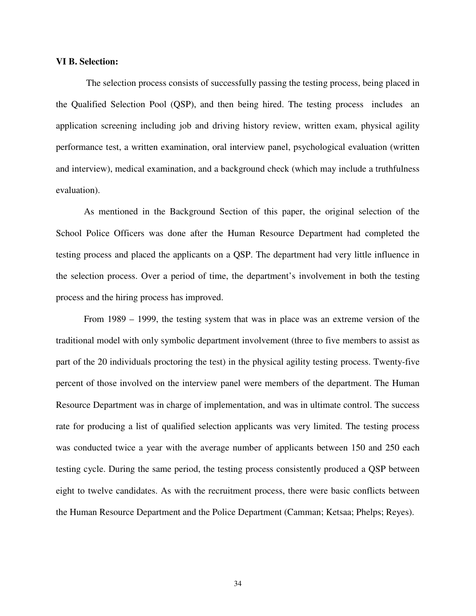#### **VI B. Selection:**

 The selection process consists of successfully passing the testing process, being placed in the Qualified Selection Pool (QSP), and then being hired. The testing process includes an application screening including job and driving history review, written exam, physical agility performance test, a written examination, oral interview panel, psychological evaluation (written and interview), medical examination, and a background check (which may include a truthfulness evaluation).

As mentioned in the Background Section of this paper, the original selection of the School Police Officers was done after the Human Resource Department had completed the testing process and placed the applicants on a QSP. The department had very little influence in the selection process. Over a period of time, the department's involvement in both the testing process and the hiring process has improved.

From 1989 – 1999, the testing system that was in place was an extreme version of the traditional model with only symbolic department involvement (three to five members to assist as part of the 20 individuals proctoring the test) in the physical agility testing process. Twenty-five percent of those involved on the interview panel were members of the department. The Human Resource Department was in charge of implementation, and was in ultimate control. The success rate for producing a list of qualified selection applicants was very limited. The testing process was conducted twice a year with the average number of applicants between 150 and 250 each testing cycle. During the same period, the testing process consistently produced a QSP between eight to twelve candidates. As with the recruitment process, there were basic conflicts between the Human Resource Department and the Police Department (Camman; Ketsaa; Phelps; Reyes).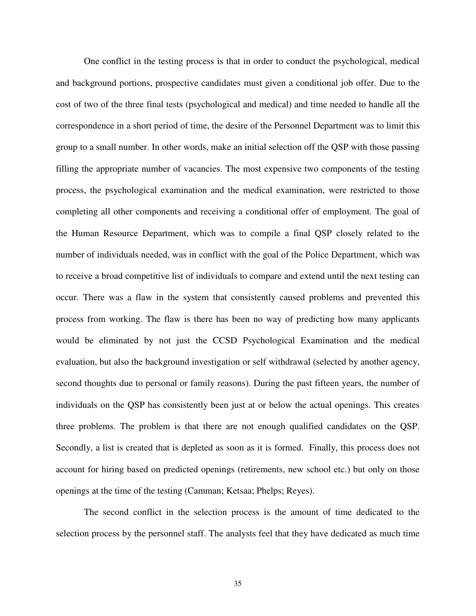One conflict in the testing process is that in order to conduct the psychological, medical and background portions, prospective candidates must given a conditional job offer. Due to the cost of two of the three final tests (psychological and medical) and time needed to handle all the correspondence in a short period of time, the desire of the Personnel Department was to limit this group to a small number. In other words, make an initial selection off the QSP with those passing filling the appropriate number of vacancies. The most expensive two components of the testing process, the psychological examination and the medical examination, were restricted to those completing all other components and receiving a conditional offer of employment. The goal of the Human Resource Department, which was to compile a final QSP closely related to the number of individuals needed, was in conflict with the goal of the Police Department, which was to receive a broad competitive list of individuals to compare and extend until the next testing can occur. There was a flaw in the system that consistently caused problems and prevented this process from working. The flaw is there has been no way of predicting how many applicants would be eliminated by not just the CCSD Psychological Examination and the medical evaluation, but also the background investigation or self withdrawal (selected by another agency, second thoughts due to personal or family reasons). During the past fifteen years, the number of individuals on the QSP has consistently been just at or below the actual openings. This creates three problems. The problem is that there are not enough qualified candidates on the QSP. Secondly, a list is created that is depleted as soon as it is formed. Finally, this process does not account for hiring based on predicted openings (retirements, new school etc.) but only on those openings at the time of the testing (Camman; Ketsaa; Phelps; Reyes).

The second conflict in the selection process is the amount of time dedicated to the selection process by the personnel staff. The analysts feel that they have dedicated as much time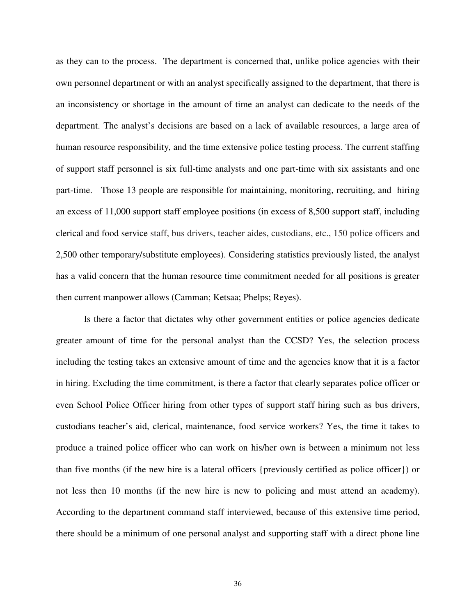as they can to the process. The department is concerned that, unlike police agencies with their own personnel department or with an analyst specifically assigned to the department, that there is an inconsistency or shortage in the amount of time an analyst can dedicate to the needs of the department. The analyst's decisions are based on a lack of available resources, a large area of human resource responsibility, and the time extensive police testing process. The current staffing of support staff personnel is six full-time analysts and one part-time with six assistants and one part-time. Those 13 people are responsible for maintaining, monitoring, recruiting, and hiring an excess of 11,000 support staff employee positions (in excess of 8,500 support staff, including clerical and food service staff, bus drivers, teacher aides, custodians, etc., 150 police officers and 2,500 other temporary/substitute employees). Considering statistics previously listed, the analyst has a valid concern that the human resource time commitment needed for all positions is greater then current manpower allows (Camman; Ketsaa; Phelps; Reyes).

Is there a factor that dictates why other government entities or police agencies dedicate greater amount of time for the personal analyst than the CCSD? Yes, the selection process including the testing takes an extensive amount of time and the agencies know that it is a factor in hiring. Excluding the time commitment, is there a factor that clearly separates police officer or even School Police Officer hiring from other types of support staff hiring such as bus drivers, custodians teacher's aid, clerical, maintenance, food service workers? Yes, the time it takes to produce a trained police officer who can work on his/her own is between a minimum not less than five months (if the new hire is a lateral officers {previously certified as police officer}) or not less then 10 months (if the new hire is new to policing and must attend an academy). According to the department command staff interviewed, because of this extensive time period, there should be a minimum of one personal analyst and supporting staff with a direct phone line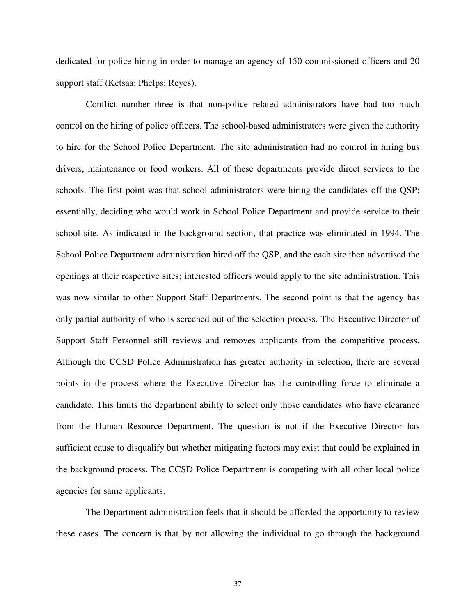dedicated for police hiring in order to manage an agency of 150 commissioned officers and 20 support staff (Ketsaa; Phelps; Reyes).

Conflict number three is that non-police related administrators have had too much control on the hiring of police officers. The school-based administrators were given the authority to hire for the School Police Department. The site administration had no control in hiring bus drivers, maintenance or food workers. All of these departments provide direct services to the schools. The first point was that school administrators were hiring the candidates off the QSP; essentially, deciding who would work in School Police Department and provide service to their school site. As indicated in the background section, that practice was eliminated in 1994. The School Police Department administration hired off the QSP, and the each site then advertised the openings at their respective sites; interested officers would apply to the site administration. This was now similar to other Support Staff Departments. The second point is that the agency has only partial authority of who is screened out of the selection process. The Executive Director of Support Staff Personnel still reviews and removes applicants from the competitive process. Although the CCSD Police Administration has greater authority in selection, there are several points in the process where the Executive Director has the controlling force to eliminate a candidate. This limits the department ability to select only those candidates who have clearance from the Human Resource Department. The question is not if the Executive Director has sufficient cause to disqualify but whether mitigating factors may exist that could be explained in the background process. The CCSD Police Department is competing with all other local police agencies for same applicants.

The Department administration feels that it should be afforded the opportunity to review these cases. The concern is that by not allowing the individual to go through the background

37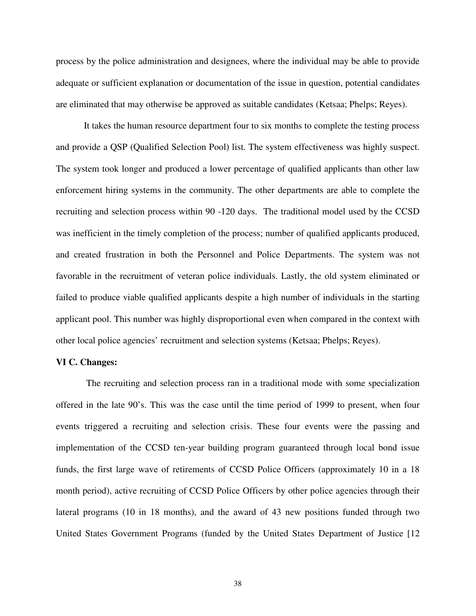process by the police administration and designees, where the individual may be able to provide adequate or sufficient explanation or documentation of the issue in question, potential candidates are eliminated that may otherwise be approved as suitable candidates (Ketsaa; Phelps; Reyes).

It takes the human resource department four to six months to complete the testing process and provide a QSP (Qualified Selection Pool) list. The system effectiveness was highly suspect. The system took longer and produced a lower percentage of qualified applicants than other law enforcement hiring systems in the community. The other departments are able to complete the recruiting and selection process within 90 -120 days. The traditional model used by the CCSD was inefficient in the timely completion of the process; number of qualified applicants produced, and created frustration in both the Personnel and Police Departments. The system was not favorable in the recruitment of veteran police individuals. Lastly, the old system eliminated or failed to produce viable qualified applicants despite a high number of individuals in the starting applicant pool. This number was highly disproportional even when compared in the context with other local police agencies' recruitment and selection systems (Ketsaa; Phelps; Reyes).

#### **VI C. Changes:**

 The recruiting and selection process ran in a traditional mode with some specialization offered in the late 90's. This was the case until the time period of 1999 to present, when four events triggered a recruiting and selection crisis. These four events were the passing and implementation of the CCSD ten-year building program guaranteed through local bond issue funds, the first large wave of retirements of CCSD Police Officers (approximately 10 in a 18 month period), active recruiting of CCSD Police Officers by other police agencies through their lateral programs (10 in 18 months), and the award of 43 new positions funded through two United States Government Programs (funded by the United States Department of Justice [12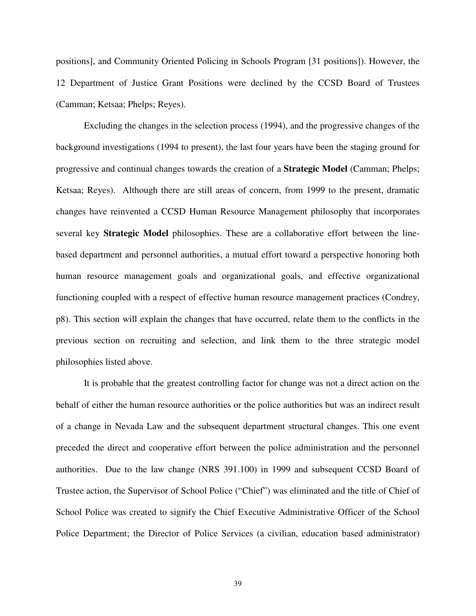positions], and Community Oriented Policing in Schools Program [31 positions]). However, the 12 Department of Justice Grant Positions were declined by the CCSD Board of Trustees (Camman; Ketsaa; Phelps; Reyes).

Excluding the changes in the selection process (1994), and the progressive changes of the background investigations (1994 to present), the last four years have been the staging ground for progressive and continual changes towards the creation of a **Strategic Model** (Camman; Phelps; Ketsaa; Reyes). Although there are still areas of concern, from 1999 to the present, dramatic changes have reinvented a CCSD Human Resource Management philosophy that incorporates several key **Strategic Model** philosophies. These are a collaborative effort between the linebased department and personnel authorities, a mutual effort toward a perspective honoring both human resource management goals and organizational goals, and effective organizational functioning coupled with a respect of effective human resource management practices (Condrey, p8). This section will explain the changes that have occurred, relate them to the conflicts in the previous section on recruiting and selection, and link them to the three strategic model philosophies listed above.

It is probable that the greatest controlling factor for change was not a direct action on the behalf of either the human resource authorities or the police authorities but was an indirect result of a change in Nevada Law and the subsequent department structural changes. This one event preceded the direct and cooperative effort between the police administration and the personnel authorities. Due to the law change (NRS 391.100) in 1999 and subsequent CCSD Board of Trustee action, the Supervisor of School Police ("Chief") was eliminated and the title of Chief of School Police was created to signify the Chief Executive Administrative Officer of the School Police Department; the Director of Police Services (a civilian, education based administrator)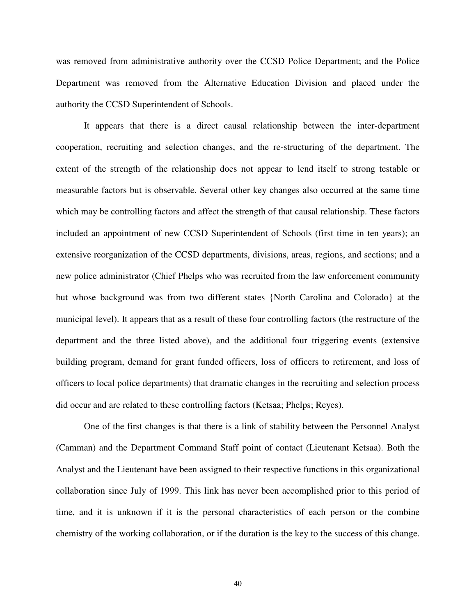was removed from administrative authority over the CCSD Police Department; and the Police Department was removed from the Alternative Education Division and placed under the authority the CCSD Superintendent of Schools.

It appears that there is a direct causal relationship between the inter-department cooperation, recruiting and selection changes, and the re-structuring of the department. The extent of the strength of the relationship does not appear to lend itself to strong testable or measurable factors but is observable. Several other key changes also occurred at the same time which may be controlling factors and affect the strength of that causal relationship. These factors included an appointment of new CCSD Superintendent of Schools (first time in ten years); an extensive reorganization of the CCSD departments, divisions, areas, regions, and sections; and a new police administrator (Chief Phelps who was recruited from the law enforcement community but whose background was from two different states {North Carolina and Colorado} at the municipal level). It appears that as a result of these four controlling factors (the restructure of the department and the three listed above), and the additional four triggering events (extensive building program, demand for grant funded officers, loss of officers to retirement, and loss of officers to local police departments) that dramatic changes in the recruiting and selection process did occur and are related to these controlling factors (Ketsaa; Phelps; Reyes).

One of the first changes is that there is a link of stability between the Personnel Analyst (Camman) and the Department Command Staff point of contact (Lieutenant Ketsaa). Both the Analyst and the Lieutenant have been assigned to their respective functions in this organizational collaboration since July of 1999. This link has never been accomplished prior to this period of time, and it is unknown if it is the personal characteristics of each person or the combine chemistry of the working collaboration, or if the duration is the key to the success of this change.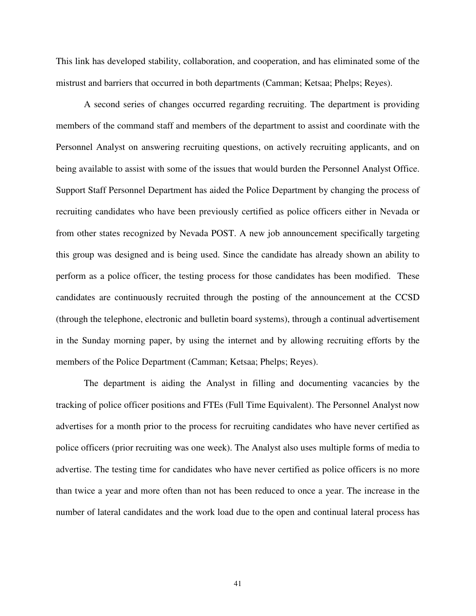This link has developed stability, collaboration, and cooperation, and has eliminated some of the mistrust and barriers that occurred in both departments (Camman; Ketsaa; Phelps; Reyes).

A second series of changes occurred regarding recruiting. The department is providing members of the command staff and members of the department to assist and coordinate with the Personnel Analyst on answering recruiting questions, on actively recruiting applicants, and on being available to assist with some of the issues that would burden the Personnel Analyst Office. Support Staff Personnel Department has aided the Police Department by changing the process of recruiting candidates who have been previously certified as police officers either in Nevada or from other states recognized by Nevada POST. A new job announcement specifically targeting this group was designed and is being used. Since the candidate has already shown an ability to perform as a police officer, the testing process for those candidates has been modified. These candidates are continuously recruited through the posting of the announcement at the CCSD (through the telephone, electronic and bulletin board systems), through a continual advertisement in the Sunday morning paper, by using the internet and by allowing recruiting efforts by the members of the Police Department (Camman; Ketsaa; Phelps; Reyes).

The department is aiding the Analyst in filling and documenting vacancies by the tracking of police officer positions and FTEs (Full Time Equivalent). The Personnel Analyst now advertises for a month prior to the process for recruiting candidates who have never certified as police officers (prior recruiting was one week). The Analyst also uses multiple forms of media to advertise. The testing time for candidates who have never certified as police officers is no more than twice a year and more often than not has been reduced to once a year. The increase in the number of lateral candidates and the work load due to the open and continual lateral process has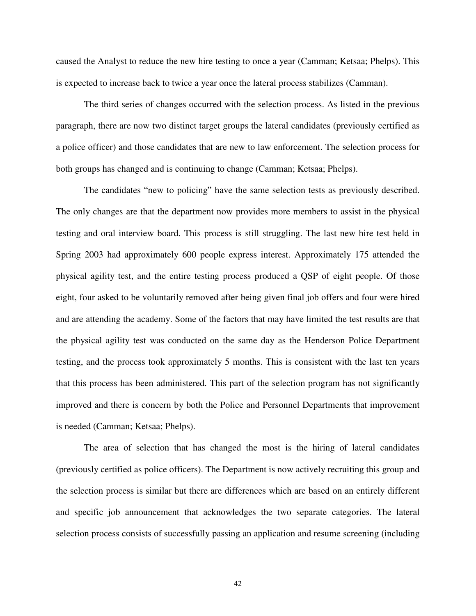caused the Analyst to reduce the new hire testing to once a year (Camman; Ketsaa; Phelps). This is expected to increase back to twice a year once the lateral process stabilizes (Camman).

The third series of changes occurred with the selection process. As listed in the previous paragraph, there are now two distinct target groups the lateral candidates (previously certified as a police officer) and those candidates that are new to law enforcement. The selection process for both groups has changed and is continuing to change (Camman; Ketsaa; Phelps).

The candidates "new to policing" have the same selection tests as previously described. The only changes are that the department now provides more members to assist in the physical testing and oral interview board. This process is still struggling. The last new hire test held in Spring 2003 had approximately 600 people express interest. Approximately 175 attended the physical agility test, and the entire testing process produced a QSP of eight people. Of those eight, four asked to be voluntarily removed after being given final job offers and four were hired and are attending the academy. Some of the factors that may have limited the test results are that the physical agility test was conducted on the same day as the Henderson Police Department testing, and the process took approximately 5 months. This is consistent with the last ten years that this process has been administered. This part of the selection program has not significantly improved and there is concern by both the Police and Personnel Departments that improvement is needed (Camman; Ketsaa; Phelps).

The area of selection that has changed the most is the hiring of lateral candidates (previously certified as police officers). The Department is now actively recruiting this group and the selection process is similar but there are differences which are based on an entirely different and specific job announcement that acknowledges the two separate categories. The lateral selection process consists of successfully passing an application and resume screening (including

42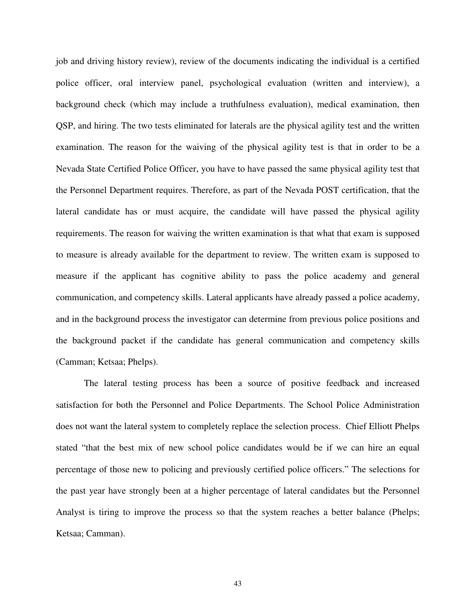job and driving history review), review of the documents indicating the individual is a certified police officer, oral interview panel, psychological evaluation (written and interview), a background check (which may include a truthfulness evaluation), medical examination, then QSP, and hiring. The two tests eliminated for laterals are the physical agility test and the written examination. The reason for the waiving of the physical agility test is that in order to be a Nevada State Certified Police Officer, you have to have passed the same physical agility test that the Personnel Department requires. Therefore, as part of the Nevada POST certification, that the lateral candidate has or must acquire, the candidate will have passed the physical agility requirements. The reason for waiving the written examination is that what that exam is supposed to measure is already available for the department to review. The written exam is supposed to measure if the applicant has cognitive ability to pass the police academy and general communication, and competency skills. Lateral applicants have already passed a police academy, and in the background process the investigator can determine from previous police positions and the background packet if the candidate has general communication and competency skills (Camman; Ketsaa; Phelps).

The lateral testing process has been a source of positive feedback and increased satisfaction for both the Personnel and Police Departments. The School Police Administration does not want the lateral system to completely replace the selection process. Chief Elliott Phelps stated "that the best mix of new school police candidates would be if we can hire an equal percentage of those new to policing and previously certified police officers." The selections for the past year have strongly been at a higher percentage of lateral candidates but the Personnel Analyst is tiring to improve the process so that the system reaches a better balance (Phelps; Ketsaa; Camman).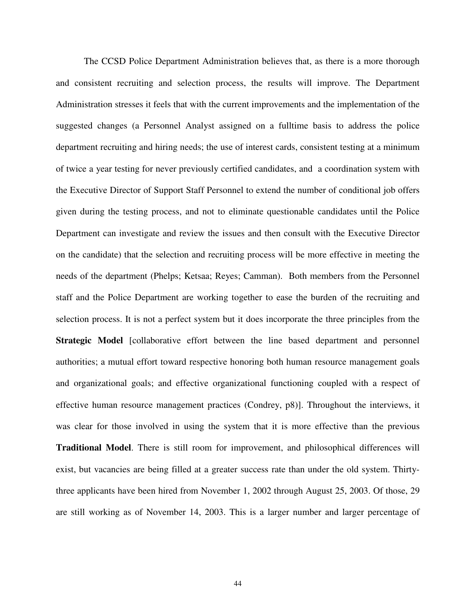The CCSD Police Department Administration believes that, as there is a more thorough and consistent recruiting and selection process, the results will improve. The Department Administration stresses it feels that with the current improvements and the implementation of the suggested changes (a Personnel Analyst assigned on a fulltime basis to address the police department recruiting and hiring needs; the use of interest cards, consistent testing at a minimum of twice a year testing for never previously certified candidates, and a coordination system with the Executive Director of Support Staff Personnel to extend the number of conditional job offers given during the testing process, and not to eliminate questionable candidates until the Police Department can investigate and review the issues and then consult with the Executive Director on the candidate) that the selection and recruiting process will be more effective in meeting the needs of the department (Phelps; Ketsaa; Reyes; Camman). Both members from the Personnel staff and the Police Department are working together to ease the burden of the recruiting and selection process. It is not a perfect system but it does incorporate the three principles from the **Strategic Model** [collaborative effort between the line based department and personnel authorities; a mutual effort toward respective honoring both human resource management goals and organizational goals; and effective organizational functioning coupled with a respect of effective human resource management practices (Condrey, p8)]. Throughout the interviews, it was clear for those involved in using the system that it is more effective than the previous **Traditional Model**. There is still room for improvement, and philosophical differences will exist, but vacancies are being filled at a greater success rate than under the old system. Thirtythree applicants have been hired from November 1, 2002 through August 25, 2003. Of those, 29 are still working as of November 14, 2003. This is a larger number and larger percentage of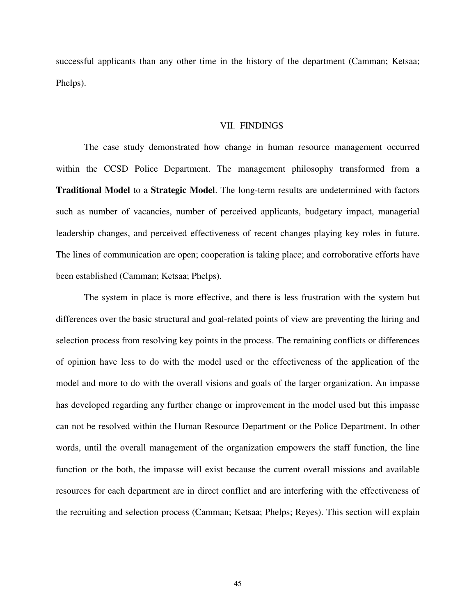successful applicants than any other time in the history of the department (Camman; Ketsaa; Phelps).

#### VII. FINDINGS

The case study demonstrated how change in human resource management occurred within the CCSD Police Department. The management philosophy transformed from a **Traditional Model** to a **Strategic Model**. The long-term results are undetermined with factors such as number of vacancies, number of perceived applicants, budgetary impact, managerial leadership changes, and perceived effectiveness of recent changes playing key roles in future. The lines of communication are open; cooperation is taking place; and corroborative efforts have been established (Camman; Ketsaa; Phelps).

The system in place is more effective, and there is less frustration with the system but differences over the basic structural and goal-related points of view are preventing the hiring and selection process from resolving key points in the process. The remaining conflicts or differences of opinion have less to do with the model used or the effectiveness of the application of the model and more to do with the overall visions and goals of the larger organization. An impasse has developed regarding any further change or improvement in the model used but this impasse can not be resolved within the Human Resource Department or the Police Department. In other words, until the overall management of the organization empowers the staff function, the line function or the both, the impasse will exist because the current overall missions and available resources for each department are in direct conflict and are interfering with the effectiveness of the recruiting and selection process (Camman; Ketsaa; Phelps; Reyes). This section will explain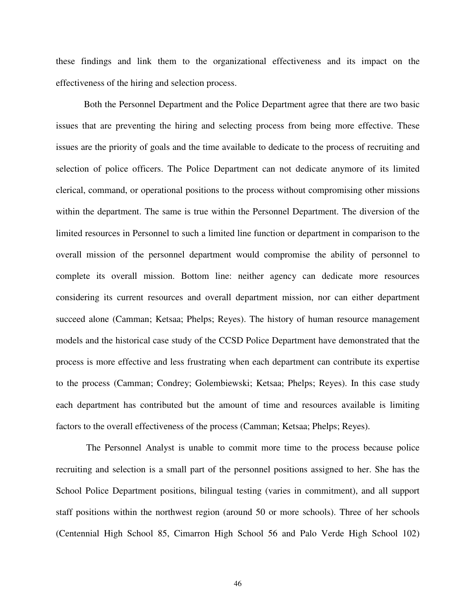these findings and link them to the organizational effectiveness and its impact on the effectiveness of the hiring and selection process.

Both the Personnel Department and the Police Department agree that there are two basic issues that are preventing the hiring and selecting process from being more effective. These issues are the priority of goals and the time available to dedicate to the process of recruiting and selection of police officers. The Police Department can not dedicate anymore of its limited clerical, command, or operational positions to the process without compromising other missions within the department. The same is true within the Personnel Department. The diversion of the limited resources in Personnel to such a limited line function or department in comparison to the overall mission of the personnel department would compromise the ability of personnel to complete its overall mission. Bottom line: neither agency can dedicate more resources considering its current resources and overall department mission, nor can either department succeed alone (Camman; Ketsaa; Phelps; Reyes). The history of human resource management models and the historical case study of the CCSD Police Department have demonstrated that the process is more effective and less frustrating when each department can contribute its expertise to the process (Camman; Condrey; Golembiewski; Ketsaa; Phelps; Reyes). In this case study each department has contributed but the amount of time and resources available is limiting factors to the overall effectiveness of the process (Camman; Ketsaa; Phelps; Reyes).

 The Personnel Analyst is unable to commit more time to the process because police recruiting and selection is a small part of the personnel positions assigned to her. She has the School Police Department positions, bilingual testing (varies in commitment), and all support staff positions within the northwest region (around 50 or more schools). Three of her schools (Centennial High School 85, Cimarron High School 56 and Palo Verde High School 102)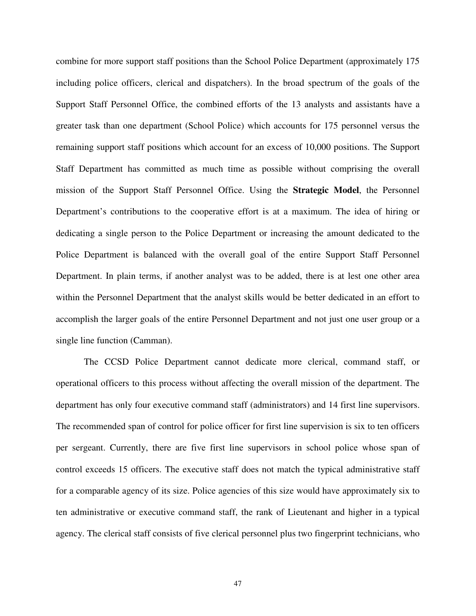combine for more support staff positions than the School Police Department (approximately 175 including police officers, clerical and dispatchers). In the broad spectrum of the goals of the Support Staff Personnel Office, the combined efforts of the 13 analysts and assistants have a greater task than one department (School Police) which accounts for 175 personnel versus the remaining support staff positions which account for an excess of 10,000 positions. The Support Staff Department has committed as much time as possible without comprising the overall mission of the Support Staff Personnel Office. Using the **Strategic Model**, the Personnel Department's contributions to the cooperative effort is at a maximum. The idea of hiring or dedicating a single person to the Police Department or increasing the amount dedicated to the Police Department is balanced with the overall goal of the entire Support Staff Personnel Department. In plain terms, if another analyst was to be added, there is at lest one other area within the Personnel Department that the analyst skills would be better dedicated in an effort to accomplish the larger goals of the entire Personnel Department and not just one user group or a single line function (Camman).

The CCSD Police Department cannot dedicate more clerical, command staff, or operational officers to this process without affecting the overall mission of the department. The department has only four executive command staff (administrators) and 14 first line supervisors. The recommended span of control for police officer for first line supervision is six to ten officers per sergeant. Currently, there are five first line supervisors in school police whose span of control exceeds 15 officers. The executive staff does not match the typical administrative staff for a comparable agency of its size. Police agencies of this size would have approximately six to ten administrative or executive command staff, the rank of Lieutenant and higher in a typical agency. The clerical staff consists of five clerical personnel plus two fingerprint technicians, who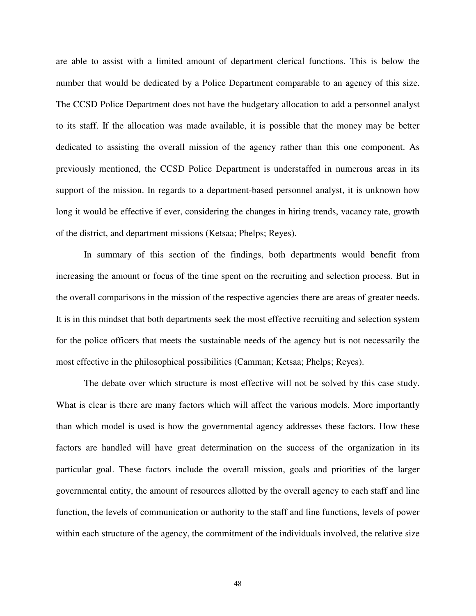are able to assist with a limited amount of department clerical functions. This is below the number that would be dedicated by a Police Department comparable to an agency of this size. The CCSD Police Department does not have the budgetary allocation to add a personnel analyst to its staff. If the allocation was made available, it is possible that the money may be better dedicated to assisting the overall mission of the agency rather than this one component. As previously mentioned, the CCSD Police Department is understaffed in numerous areas in its support of the mission. In regards to a department-based personnel analyst, it is unknown how long it would be effective if ever, considering the changes in hiring trends, vacancy rate, growth of the district, and department missions (Ketsaa; Phelps; Reyes).

In summary of this section of the findings, both departments would benefit from increasing the amount or focus of the time spent on the recruiting and selection process. But in the overall comparisons in the mission of the respective agencies there are areas of greater needs. It is in this mindset that both departments seek the most effective recruiting and selection system for the police officers that meets the sustainable needs of the agency but is not necessarily the most effective in the philosophical possibilities (Camman; Ketsaa; Phelps; Reyes).

The debate over which structure is most effective will not be solved by this case study. What is clear is there are many factors which will affect the various models. More importantly than which model is used is how the governmental agency addresses these factors. How these factors are handled will have great determination on the success of the organization in its particular goal. These factors include the overall mission, goals and priorities of the larger governmental entity, the amount of resources allotted by the overall agency to each staff and line function, the levels of communication or authority to the staff and line functions, levels of power within each structure of the agency, the commitment of the individuals involved, the relative size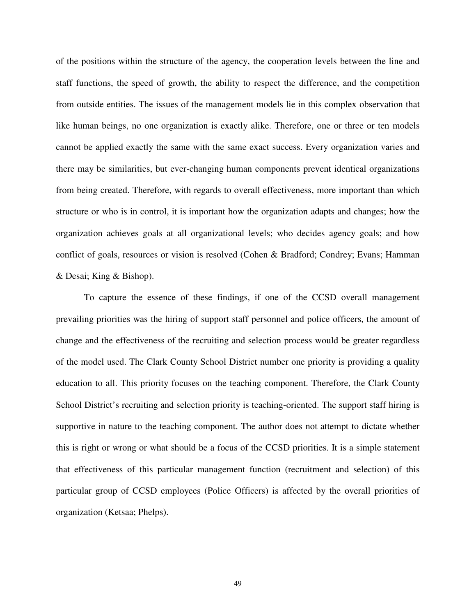of the positions within the structure of the agency, the cooperation levels between the line and staff functions, the speed of growth, the ability to respect the difference, and the competition from outside entities. The issues of the management models lie in this complex observation that like human beings, no one organization is exactly alike. Therefore, one or three or ten models cannot be applied exactly the same with the same exact success. Every organization varies and there may be similarities, but ever-changing human components prevent identical organizations from being created. Therefore, with regards to overall effectiveness, more important than which structure or who is in control, it is important how the organization adapts and changes; how the organization achieves goals at all organizational levels; who decides agency goals; and how conflict of goals, resources or vision is resolved (Cohen & Bradford; Condrey; Evans; Hamman & Desai; King & Bishop).

To capture the essence of these findings, if one of the CCSD overall management prevailing priorities was the hiring of support staff personnel and police officers, the amount of change and the effectiveness of the recruiting and selection process would be greater regardless of the model used. The Clark County School District number one priority is providing a quality education to all. This priority focuses on the teaching component. Therefore, the Clark County School District's recruiting and selection priority is teaching-oriented. The support staff hiring is supportive in nature to the teaching component. The author does not attempt to dictate whether this is right or wrong or what should be a focus of the CCSD priorities. It is a simple statement that effectiveness of this particular management function (recruitment and selection) of this particular group of CCSD employees (Police Officers) is affected by the overall priorities of organization (Ketsaa; Phelps).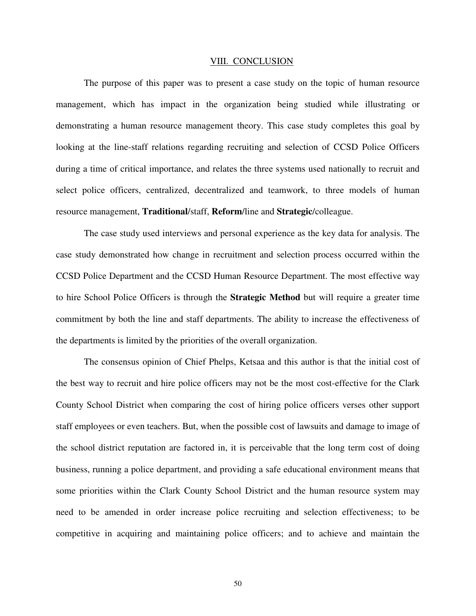#### VIII. CONCLUSION

The purpose of this paper was to present a case study on the topic of human resource management, which has impact in the organization being studied while illustrating or demonstrating a human resource management theory. This case study completes this goal by looking at the line-staff relations regarding recruiting and selection of CCSD Police Officers during a time of critical importance, and relates the three systems used nationally to recruit and select police officers, centralized, decentralized and teamwork, to three models of human resource management, **Traditional**/staff, **Reform**/line and **Strategic**/colleague.

The case study used interviews and personal experience as the key data for analysis. The case study demonstrated how change in recruitment and selection process occurred within the CCSD Police Department and the CCSD Human Resource Department. The most effective way to hire School Police Officers is through the **Strategic Method** but will require a greater time commitment by both the line and staff departments. The ability to increase the effectiveness of the departments is limited by the priorities of the overall organization.

The consensus opinion of Chief Phelps, Ketsaa and this author is that the initial cost of the best way to recruit and hire police officers may not be the most cost-effective for the Clark County School District when comparing the cost of hiring police officers verses other support staff employees or even teachers. But, when the possible cost of lawsuits and damage to image of the school district reputation are factored in, it is perceivable that the long term cost of doing business, running a police department, and providing a safe educational environment means that some priorities within the Clark County School District and the human resource system may need to be amended in order increase police recruiting and selection effectiveness; to be competitive in acquiring and maintaining police officers; and to achieve and maintain the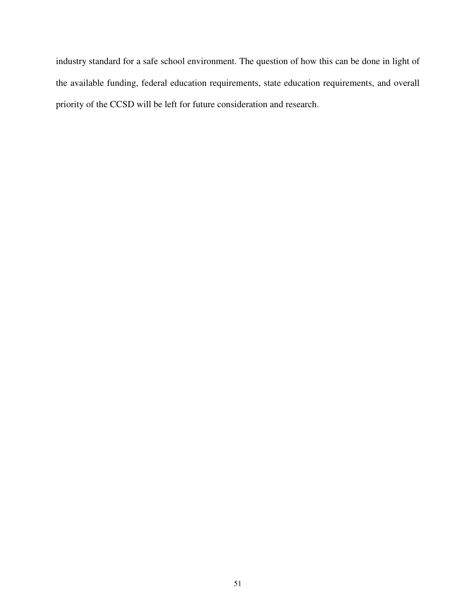industry standard for a safe school environment. The question of how this can be done in light of the available funding, federal education requirements, state education requirements, and overall priority of the CCSD will be left for future consideration and research.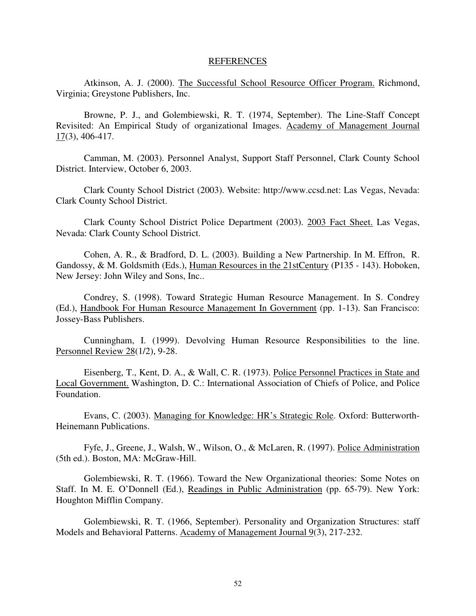#### REFERENCES

Atkinson, A. J. (2000). The Successful School Resource Officer Program. Richmond, Virginia; Greystone Publishers, Inc.

Browne, P. J., and Golembiewski, R. T. (1974, September). The Line-Staff Concept Revisited: An Empirical Study of organizational Images. Academy of Management Journal 17(3), 406-417.

Camman, M. (2003). Personnel Analyst, Support Staff Personnel, Clark County School District. Interview, October 6, 2003.

Clark County School District (2003). Website: http://www.ccsd.net: Las Vegas, Nevada: Clark County School District.

Clark County School District Police Department (2003). 2003 Fact Sheet. Las Vegas, Nevada: Clark County School District.

Cohen, A. R., & Bradford, D. L. (2003). Building a New Partnership. In M. Effron, R. Gandossy, & M. Goldsmith (Eds.), Human Resources in the 21stCentury (P135 - 143). Hoboken, New Jersey: John Wiley and Sons, Inc..

Condrey, S. (1998). Toward Strategic Human Resource Management. In S. Condrey (Ed.), Handbook For Human Resource Management In Government (pp. 1-13). San Francisco: Jossey-Bass Publishers.

Cunningham, I. (1999). Devolving Human Resource Responsibilities to the line. Personnel Review 28(1/2), 9-28.

Eisenberg, T., Kent, D. A., & Wall, C. R. (1973). Police Personnel Practices in State and Local Government. Washington, D. C.: International Association of Chiefs of Police, and Police Foundation.

Evans, C. (2003). Managing for Knowledge: HR's Strategic Role. Oxford: Butterworth-Heinemann Publications.

Fyfe, J., Greene, J., Walsh, W., Wilson, O., & McLaren, R. (1997). Police Administration (5th ed.). Boston, MA: McGraw-Hill.

Golembiewski, R. T. (1966). Toward the New Organizational theories: Some Notes on Staff. In M. E. O'Donnell (Ed.), Readings in Public Administration (pp. 65-79). New York: Houghton Mifflin Company.

Golembiewski, R. T. (1966, September). Personality and Organization Structures: staff Models and Behavioral Patterns. Academy of Management Journal 9(3), 217-232.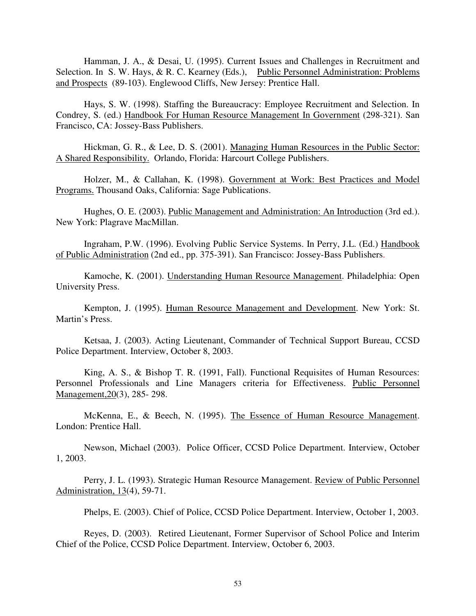Hamman, J. A., & Desai, U. (1995). Current Issues and Challenges in Recruitment and Selection. In S. W. Hays, & R. C. Kearney (Eds.), Public Personnel Administration: Problems and Prospects (89-103). Englewood Cliffs, New Jersey: Prentice Hall.

Hays, S. W. (1998). Staffing the Bureaucracy: Employee Recruitment and Selection. In Condrey, S. (ed.) Handbook For Human Resource Management In Government (298-321). San Francisco, CA: Jossey-Bass Publishers.

Hickman, G. R., & Lee, D. S. (2001). Managing Human Resources in the Public Sector: A Shared Responsibility. Orlando, Florida: Harcourt College Publishers.

Holzer, M., & Callahan, K. (1998). Government at Work: Best Practices and Model Programs. Thousand Oaks, California: Sage Publications.

Hughes, O. E. (2003). Public Management and Administration: An Introduction (3rd ed.). New York: Plagrave MacMillan.

Ingraham, P.W. (1996). Evolving Public Service Systems. In Perry, J.L. (Ed.) Handbook of Public Administration (2nd ed., pp. 375-391). San Francisco: Jossey-Bass Publishers.

Kamoche, K. (2001). Understanding Human Resource Management. Philadelphia: Open University Press.

Kempton, J. (1995). Human Resource Management and Development. New York: St. Martin's Press.

Ketsaa, J. (2003). Acting Lieutenant, Commander of Technical Support Bureau, CCSD Police Department. Interview, October 8, 2003.

King, A. S., & Bishop T. R. (1991, Fall). Functional Requisites of Human Resources: Personnel Professionals and Line Managers criteria for Effectiveness. Public Personnel Management,20(3), 285- 298.

McKenna, E., & Beech, N. (1995). The Essence of Human Resource Management. London: Prentice Hall.

Newson, Michael (2003). Police Officer, CCSD Police Department. Interview, October 1, 2003.

Perry, J. L. (1993). Strategic Human Resource Management. Review of Public Personnel Administration, 13(4), 59-71.

Phelps, E. (2003). Chief of Police, CCSD Police Department. Interview, October 1, 2003.

Reyes, D. (2003). Retired Lieutenant, Former Supervisor of School Police and Interim Chief of the Police, CCSD Police Department. Interview, October 6, 2003.